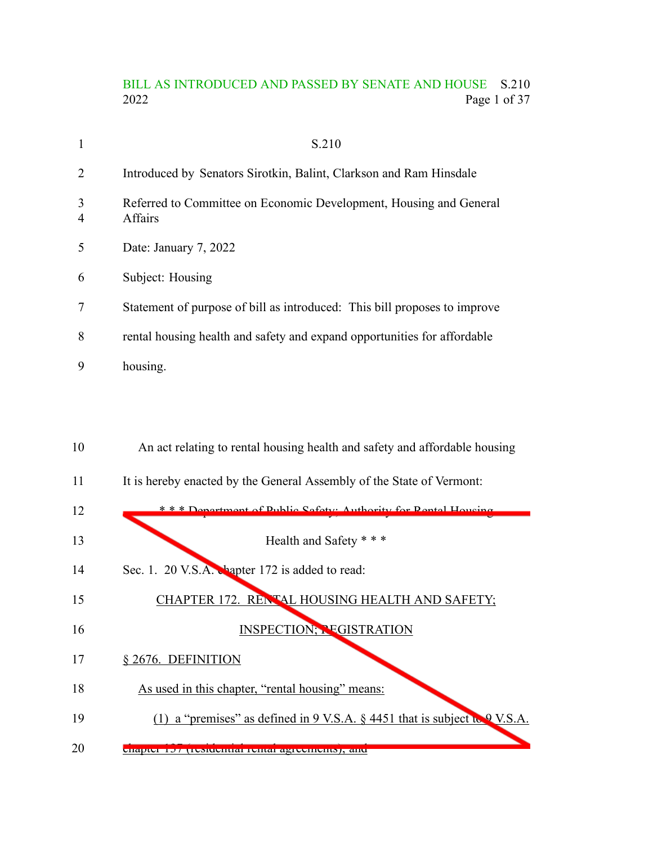## BILL AS INTRODUCED AND PASSED BY SENATE AND HOUSE S.210<br>2022 Page 1 of 37 Page 1 of 37

|                     | S.210                                                                         |
|---------------------|-------------------------------------------------------------------------------|
| 2                   | Introduced by Senators Sirotkin, Balint, Clarkson and Ram Hinsdale            |
| 3<br>$\overline{4}$ | Referred to Committee on Economic Development, Housing and General<br>Affairs |
| 5                   | Date: January 7, 2022                                                         |
| 6                   | Subject: Housing                                                              |
| 7                   | Statement of purpose of bill as introduced: This bill proposes to improve     |
| 8                   | rental housing health and safety and expand opportunities for affordable      |
| 9                   | housing.                                                                      |

| 10 | An act relating to rental housing health and safety and affordable housing                      |
|----|-------------------------------------------------------------------------------------------------|
| 11 | It is hereby enacted by the General Assembly of the State of Vermont:                           |
| 12 | * * * Department of Public Safety: Authority for Pontal Houging                                 |
| 13 | Health and Safety * * *                                                                         |
| 14 | Sec. 1. 20 V.S.A. Chapter 172 is added to read:                                                 |
| 15 | CHAPTER 172. RENTAL HOUSING HEALTH AND SAFETY;                                                  |
| 16 | <b>INSPECTION; REGISTRATION</b>                                                                 |
| 17 | § 2676. DEFINITION                                                                              |
| 18 | As used in this chapter, "rental housing" means:                                                |
| 19 | (1) a "premises" as defined in $9 \text{ V.S.A.}$ \$ 4451 that is subject to $9 \text{ V.S.A.}$ |
| 20 | спартенто дека и понимально действенной, ант                                                    |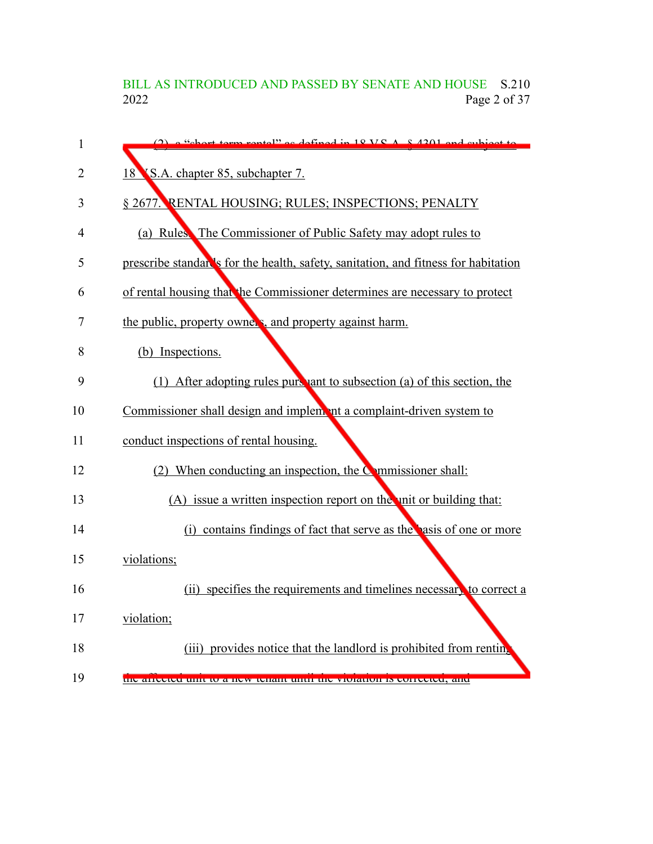# BILL AS INTRODUCED AND PASSED BY SENATE AND HOUSE S.210<br>2022 Page 2 of 37 Page 2 of 37

| 1              | $\alpha$ "chort town reptal" as defined in 18 VS $\Lambda$ 8.4201 and subject to   |
|----------------|------------------------------------------------------------------------------------|
| $\overline{2}$ | 18 S.A. chapter 85, subchapter 7.                                                  |
| 3              | § 2677. RENTAL HOUSING; RULES; INSPECTIONS; PENALTY                                |
| 4              | (a) Rules. The Commissioner of Public Safety may adopt rules to                    |
| 5              | prescribe standar's for the health, safety, sanitation, and fitness for habitation |
| 6              | of rental housing that the Commissioner determines are necessary to protect        |
| 7              | the public, property owners, and property against harm.                            |
| 8              | (b) Inspections.                                                                   |
| 9              | (1) After adopting rules purchant to subsection (a) of this section, the           |
| 10             | Commissioner shall design and implement a complaint-driven system to               |
| 11             | conduct inspections of rental housing.                                             |
| 12             | (2) When conducting an inspection, the $\bullet$ mmissioner shall:                 |
| 13             | (A) issue a written inspection report on the unit or building that:                |
| 14             | (i) contains findings of fact that serve as the pasis of one or more               |
| 15             | violations;                                                                        |
| 16             | (ii) specifies the requirements and timelines necessary to correct a               |
| 17             | violation;                                                                         |
| 18             | (iii) provides notice that the landlord is prohibited from renting                 |
| 19             | the affected that to a new tenant than the violation is contected, and             |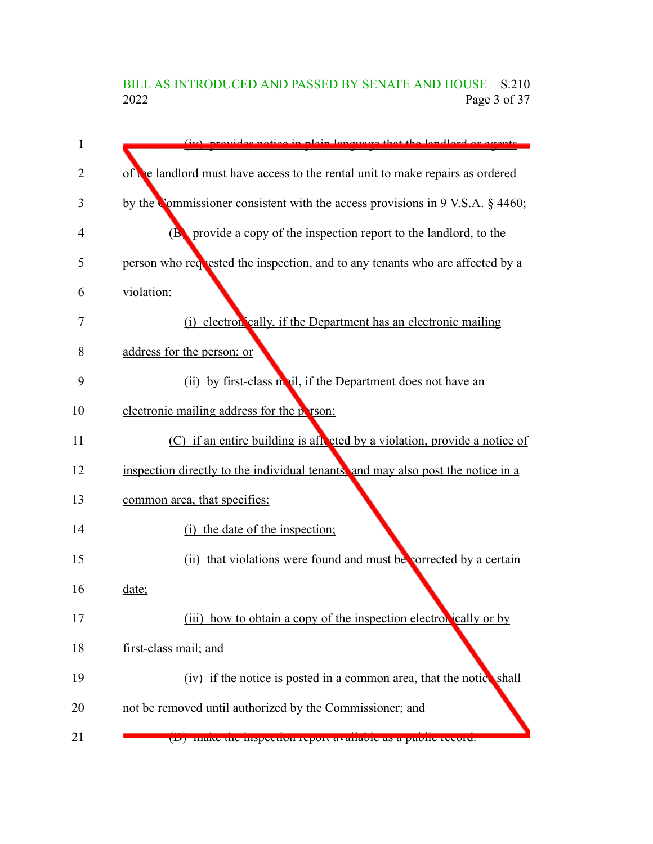BILL AS INTRODUCED AND PASSED BY SENATE AND HOUSE S.210<br>2022 Page 3 of 37 Page 3 of 37

| 1              | (iv) provides potice in plain lenguage that the land and or execute                   |
|----------------|---------------------------------------------------------------------------------------|
| $\overline{2}$ | of <b>c</b> e landlord must have access to the rental unit to make repairs as ordered |
| 3              | by the Commissioner consistent with the access provisions in 9 V.S.A. § 4460;         |
| 4              | <b>(B)</b> provide a copy of the inspection report to the landlord, to the            |
| 5              | person who requested the inspection, and to any tenants who are affected by a         |
| 6              | violation:                                                                            |
| 7              | (i) electron eally, if the Department has an electronic mailing                       |
| 8              | address for the person; or                                                            |
| 9              | (ii) by first-class moul, if the Department does not have an                          |
| 10             | electronic mailing address for the person;                                            |
| 11             | (C) if an entire building is after eted by a violation, provide a notice of           |
| 12             | inspection directly to the individual tenants, and may also post the notice in a      |
| 13             | common area, that specifies:                                                          |
| 14             | (i) the date of the inspection;                                                       |
| 15             | (ii) that violations were found and must be corrected by a certain                    |
| 16             | date;                                                                                 |
| 17             | (iii) how to obtain a copy of the inspection electron cally or by                     |
| 18             | first-class mail; and                                                                 |
| 19             | (iv) if the notice is posted in a common area, that the notice shall                  |
| 20             | not be removed until authorized by the Commissioner; and                              |
| 21             | (D) make the inspection report available as a public record.                          |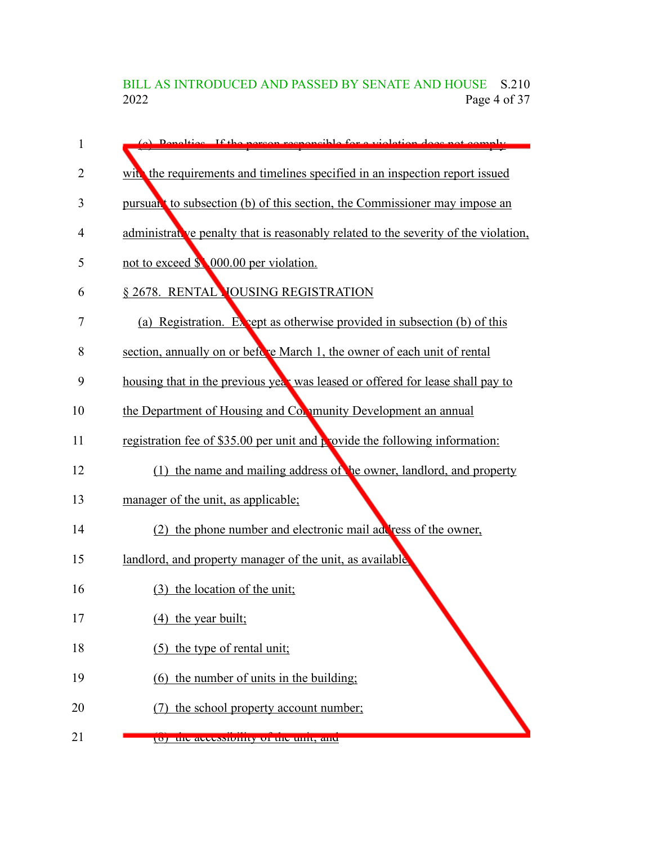BILL AS INTRODUCED AND PASSED BY SENATE AND HOUSE S.210<br>2022 Page 4 of 37 Page 4 of 37

| 1  | (a) Depalties If the nerson reconosible for a violation does not comply             |
|----|-------------------------------------------------------------------------------------|
| 2  | with the requirements and timelines specified in an inspection report issued        |
| 3  | pursual to subsection (b) of this section, the Commissioner may impose an           |
| 4  | administrative penalty that is reasonably related to the severity of the violation, |
| 5  | not to exceed \$ 000.00 per violation.                                              |
| 6  | § 2678. RENTAL YOUSING REGISTRATION                                                 |
| 7  | (a) Registration. Ex vept as otherwise provided in subsection (b) of this           |
| 8  | section, annually on or before March 1, the owner of each unit of rental            |
| 9  | housing that in the previous year was leased or offered for lease shall pay to      |
| 10 | the Department of Housing and Community Development an annual                       |
| 11 | registration fee of \$35.00 per unit and provide the following information:         |
| 12 | (1) the name and mailing address of be owner, landlord, and property                |
| 13 | manager of the unit, as applicable;                                                 |
| 14 | (2) the phone number and electronic mail address of the owner,                      |
| 15 | landlord, and property manager of the unit, as available                            |
| 16 | (3) the location of the unit;                                                       |
| 17 | (4) the year built;                                                                 |
| 18 | $(5)$ the type of rental unit;                                                      |
| 19 | (6) the number of units in the building;                                            |
| 20 | the school property account number;                                                 |
| 21 | (0) the accessionity of the unit, and                                               |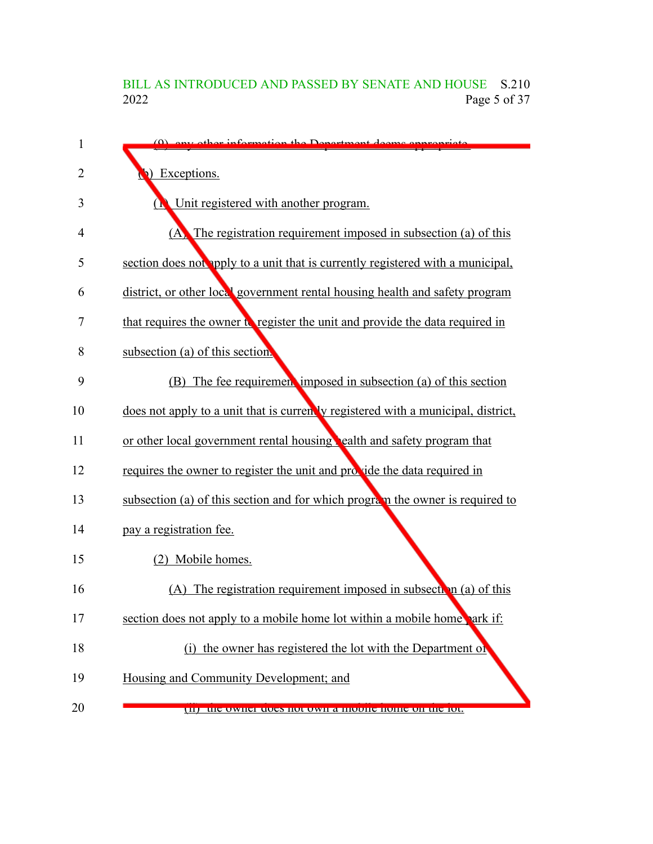### BILL AS INTRODUCED AND PASSED BY SENATE AND HOUSE S.210<br>2022 Page 5 of 37 Page 5 of 37

| $\mathbf{1}$ | (0) any other information the Department deems anno                               |
|--------------|-----------------------------------------------------------------------------------|
| 2            | Exceptions.                                                                       |
| 3            | Unit registered with another program.                                             |
| 4            | (A) The registration requirement imposed in subsection (a) of this                |
| 5            | section does not apply to a unit that is currently registered with a municipal,   |
| 6            | district, or other local government rental housing health and safety program      |
| 7            | that requires the owner to register the unit and provide the data required in     |
| 8            | subsection (a) of this section.                                                   |
| 9            | (B) The fee requirement imposed in subsection (a) of this section                 |
| 10           | does not apply to a unit that is currently registered with a municipal, district, |
| 11           | or other local government rental housing bealth and safety program that           |
| 12           | requires the owner to register the unit and provide the data required in          |
| 13           | subsection (a) of this section and for which program the owner is required to     |
| 14           | pay a registration fee.                                                           |
| 15           | (2) Mobile homes.                                                                 |
| 16           | (A) The registration requirement imposed in subsection (a) of this                |
| 17           | section does not apply to a mobile home lot within a mobile home park if:         |
| 18           | (i) the owner has registered the lot with the Department of                       |
| 19           | Housing and Community Development; and                                            |
| 20           | THE THE OWNER GOES HOT OWN A HOUNG HOME ON HE TOT.                                |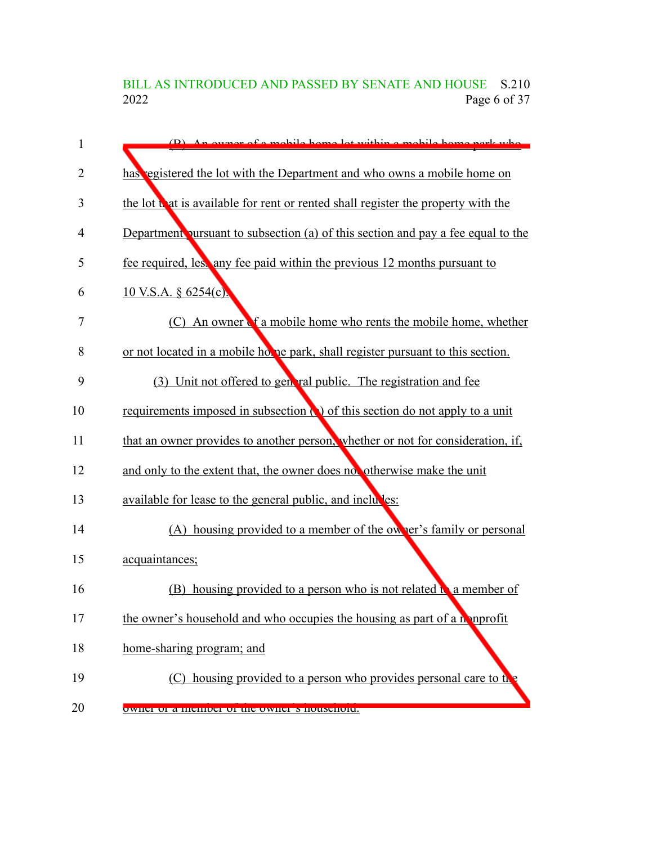BILL AS INTRODUCED AND PASSED BY SENATE AND HOUSE S.210<br>2022 Page 6 of 37 Page 6 of 37

| 1              | (B) An owner of a mobile home lot within a mobile home park who                   |
|----------------|-----------------------------------------------------------------------------------|
| $\overline{2}$ | has egistered the lot with the Department and who owns a mobile home on           |
| 3              | the lot that is available for rent or rented shall register the property with the |
| 4              | Department pursuant to subsection (a) of this section and pay a fee equal to the  |
| 5              | fee required, less any fee paid within the previous 12 months pursuant to         |
| 6              | $10$ V.S.A. § 6254(c).                                                            |
| 7              | An owner of a mobile home who rents the mobile home, whether<br>(C)               |
| 8              | or not located in a mobile home park, shall register pursuant to this section.    |
| 9              | (3) Unit not offered to general public. The registration and fee                  |
| 10             | requirements imposed in subsection (a) of this section do not apply to a unit     |
| 11             | that an owner provides to another person, whether or not for consideration, if,   |
| 12             | and only to the extent that, the owner does not otherwise make the unit           |
| 13             | available for lease to the general public, and includes:                          |
| 14             | (A) housing provided to a member of the owner's family or personal                |
| 15             | acquaintances;                                                                    |
| 16             | housing provided to a person who is not related $\mathbf{a}$ a member of<br>(B)   |
| 17             | the owner's household and who occupies the housing as part of a monprofit         |
| 18             | home-sharing program; and                                                         |
| 19             | (C) housing provided to a person who provides personal care to the                |
| 20             | owner or a memoer or the owner s nousehold.                                       |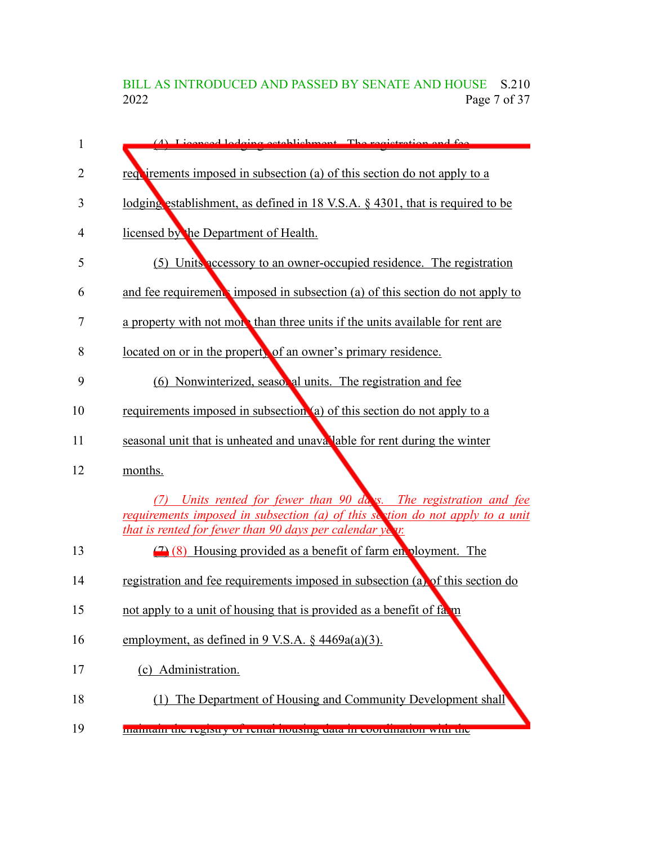BILL AS INTRODUCED AND PASSED BY SENATE AND HOUSE S.210<br>2022 Page 7 of 37 Page 7 of 37

| $\mathbf{1}$ | (4) Licensed Lodging establishment. The registration and fee.                                                                                                                                                     |
|--------------|-------------------------------------------------------------------------------------------------------------------------------------------------------------------------------------------------------------------|
| 2            | requirements imposed in subsection (a) of this section do not apply to a                                                                                                                                          |
| 3            | lodging establishment, as defined in 18 V.S.A. $\S$ 4301, that is required to be                                                                                                                                  |
| 4            | licensed by the Department of Health.                                                                                                                                                                             |
| 5            | (5) Units accessory to an owner-occupied residence. The registration                                                                                                                                              |
| 6            | and fee requirements imposed in subsection (a) of this section do not apply to                                                                                                                                    |
| 7            | a property with not more than three units if the units available for rent are                                                                                                                                     |
| 8            | located on or in the propert, of an owner's primary residence.                                                                                                                                                    |
| 9            | (6) Nonwinterized, seaso, al units. The registration and fee                                                                                                                                                      |
| 10           | requirements imposed in subsection (a) of this section do not apply to a                                                                                                                                          |
| 11           | seasonal unit that is unheated and unava lable for rent during the winter                                                                                                                                         |
| 12           | months.                                                                                                                                                                                                           |
|              | Units rented for fewer than 90 days. The registration and fee<br>(7)<br>requirements imposed in subsection (a) of this section do not apply to a unit<br>that is rented for fewer than 90 days per calendar year. |
| 13           | (7) (8) Housing provided as a benefit of farm en ployment. The                                                                                                                                                    |
| 14           | registration and fee requirements imposed in subsection (a) of this section do                                                                                                                                    |
| 15           | not apply to a unit of housing that is provided as a benefit of fa. in                                                                                                                                            |
| 16           | employment, as defined in 9 V.S.A. § 4469a(a)(3).                                                                                                                                                                 |
| 17           | (c) Administration.                                                                                                                                                                                               |
| 18           | (1) The Department of Housing and Community Development shall                                                                                                                                                     |
| 19           | <u>mamam ing regiony of rental nousing uata in coorumation with the</u>                                                                                                                                           |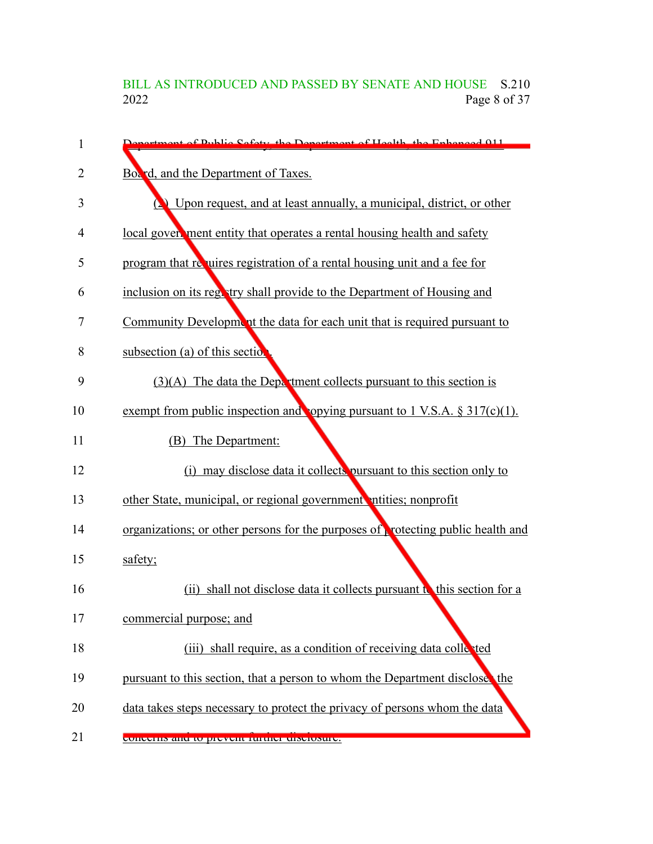## BILL AS INTRODUCED AND PASSED BY SENATE AND HOUSE S.210<br>2022 Page 8 of 37 Page 8 of 37

| 1  | Congriment of Public Sefety, the Department of Health, the Enhanced 011                 |
|----|-----------------------------------------------------------------------------------------|
| 2  | Box d, and the Department of Taxes.                                                     |
| 3  | (2) Upon request, and at least annually, a municipal, district, or other                |
| 4  | local gover, ment entity that operates a rental housing health and safety               |
| 5  | program that requires registration of a rental housing unit and a fee for               |
| 6  | inclusion on its registry shall provide to the Department of Housing and                |
| 7  | Community Development the data for each unit that is required pursuant to               |
| 8  | subsection (a) of this section                                                          |
| 9  | $(3)(A)$ The data the Department collects pursuant to this section is                   |
| 10 | exempt from public inspection and opying pursuant to $1$ V.S.A. $\S 317(c)(1)$ .        |
| 11 | (B) The Department:                                                                     |
| 12 | (i) may disclose data it collects pursuant to this section only to                      |
| 13 | other State, municipal, or regional government ntities; nonprofit                       |
| 14 | organizations; or other persons for the purposes of <b>protecting public health and</b> |
| 15 | safety;                                                                                 |
| 16 | shall not disclose data it collects pursuant to this section for a<br>(ii)              |
| 17 | commercial purpose; and                                                                 |
| 18 | (iii) shall require, as a condition of receiving data collected                         |
| 19 | pursuant to this section, that a person to whom the Department disclose, the            |
| 20 | data takes steps necessary to protect the privacy of persons whom the data              |
| 21 | concents and to prevent ruriner disclosure.                                             |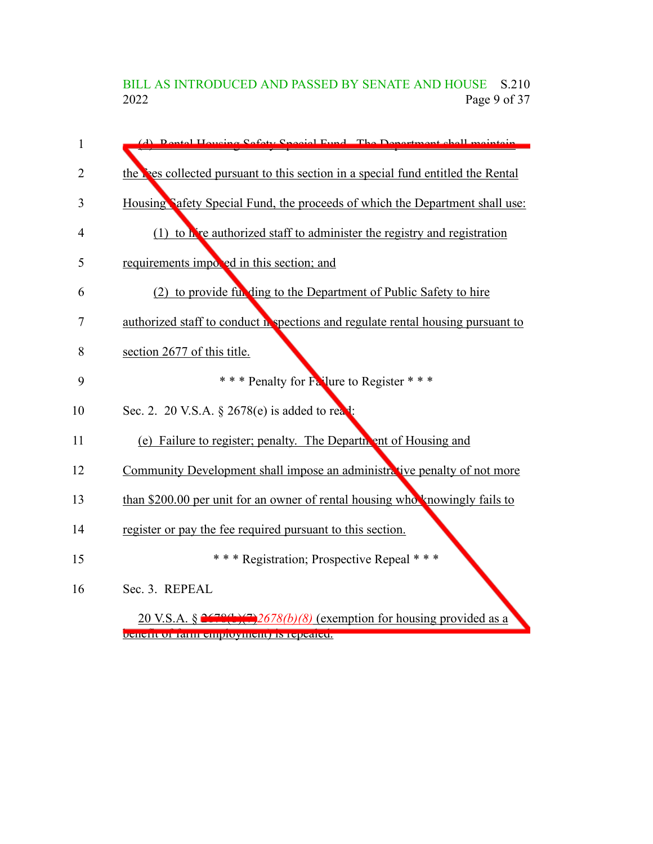BILL AS INTRODUCED AND PASSED BY SENATE AND HOUSE S.210 2022 Page 9 of 37

| $\mathbf{1}$   | (d) Dontol Houging Safety Special Fund The Department shall maintain               |
|----------------|------------------------------------------------------------------------------------|
| $\overline{2}$ | the lifes collected pursuant to this section in a special fund entitled the Rental |
| 3              | Housing Safety Special Fund, the proceeds of which the Department shall use:       |
| 4              | $(1)$ to hive authorized staff to administer the registry and registration         |
| 5              | requirements imposed in this section; and                                          |
| 6              | (2) to provide full ding to the Department of Public Safety to hire                |
| 7              | authorized staff to conduct in spections and regulate rental housing pursuant to   |
| 8              | section 2677 of this title.                                                        |
| 9              | *** Penalty for Failure to Register ***                                            |
| 10             | Sec. 2. 20 V.S.A. § 2678(e) is added to read:                                      |
| 11             | (e) Failure to register; penalty. The Department of Housing and                    |
| 12             | Community Development shall impose an administrative penalty of not more           |
| 13             | than \$200.00 per unit for an owner of rental housing who knowingly fails to       |
| 14             | register or pay the fee required pursuant to this section.                         |
| 15             | *** Registration; Prospective Repeal ***                                           |
| 16             | Sec. 3. REPEAL                                                                     |
|                | 20 V.S.A. § $2672(1)(7)2678(b)(8)$ (exemption for housing provided as a            |

benefit of farm employment) is repealed.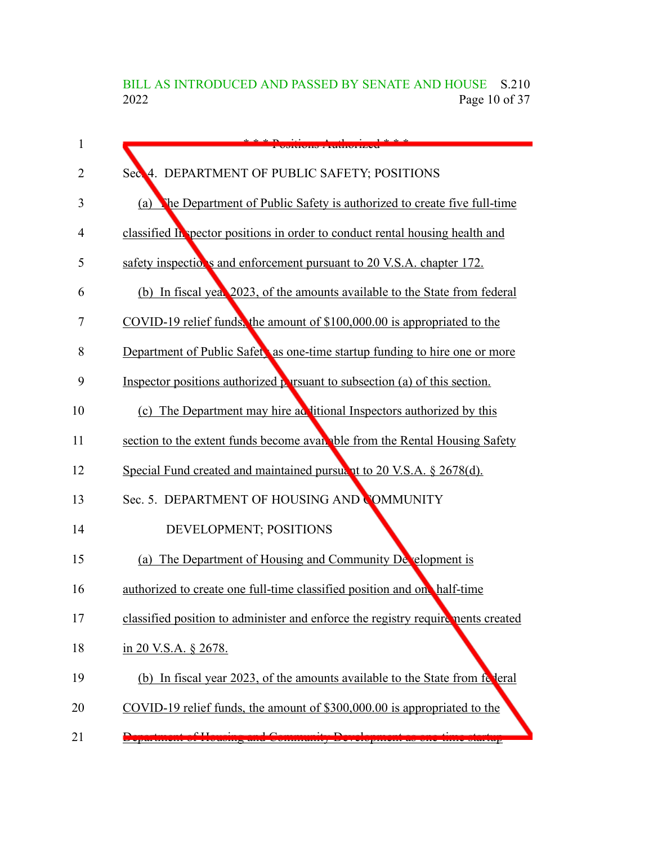BILL AS INTRODUCED AND PASSED BY SENATE AND HOUSE S.210<br>2022 Page 10 of 37 Page 10 of 37

| $\mathbf{1}$ |                                                                                         |
|--------------|-----------------------------------------------------------------------------------------|
| 2            | 4. DEPARTMENT OF PUBLIC SAFETY; POSITIONS<br>Sec.                                       |
| 3            | (a) The Department of Public Safety is authorized to create five full-time              |
| 4            | classified In spector positions in order to conduct rental housing health and           |
| 5            | safety inspectior's and enforcement pursuant to 20 V.S.A. chapter 172.                  |
| 6            | (b) In fiscal year 2023, of the amounts available to the State from federal             |
| 7            | COVID-19 relief funds, the amount of \$100,000.00 is appropriated to the                |
| 8            | Department of Public Safet, as one-time startup funding to hire one or more             |
| 9            | Inspector positions authorized persuant to subsection (a) of this section.              |
| 10           | (c) The Department may hire ad litional Inspectors authorized by this                   |
| 11           | section to the extent funds become available from the Rental Housing Safety             |
| 12           | Special Fund created and maintained pursuant to 20 V.S.A. § 2678(d).                    |
| 13           | Sec. 5. DEPARTMENT OF HOUSING AND COMMUNITY                                             |
| 14           | DEVELOPMENT; POSITIONS                                                                  |
| 15           | (a) The Department of Housing and Community Development is                              |
| 16           | authorized to create one full-time classified position and one half-time                |
| 17           | classified position to administer and enforce the registry require nents created        |
| 18           | in 20 V.S.A. § 2678.                                                                    |
| 19           | (b) In fiscal year 2023, of the amounts available to the State from following           |
| 20           | COVID-19 relief funds, the amount of \$300,000.00 is appropriated to the                |
| 21           | 2000 months<br>Extreme persons as vire<br><u> Bernama Bassara Ba</u><br><b>AMMORIAS</b> |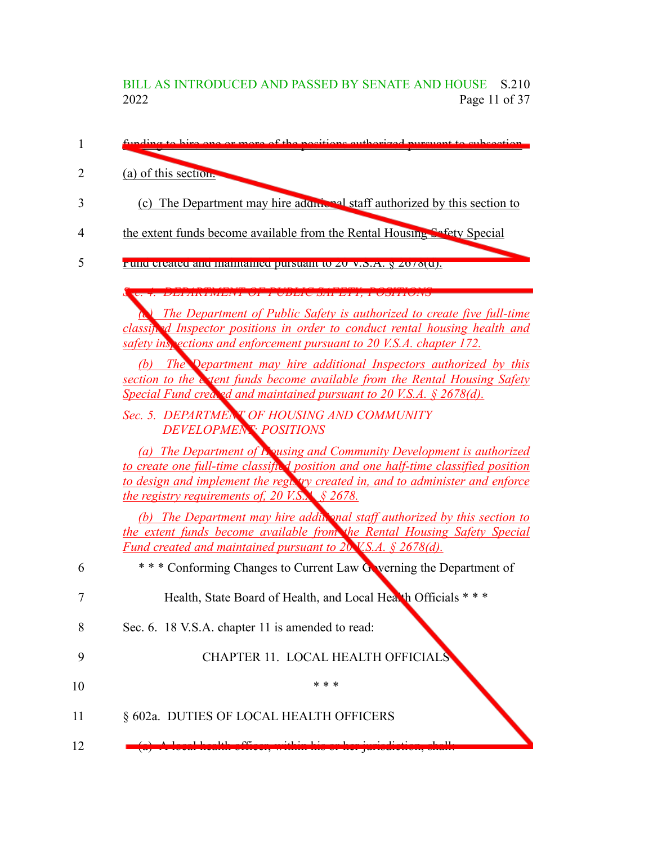### BILL AS INTRODUCED AND PASSED BY SENATE AND HOUSE S.210<br>2022 Page 11 of 37 Page 11 of 37

| (a) of this section.                                                                                                                                           |
|----------------------------------------------------------------------------------------------------------------------------------------------------------------|
| (c) The Department may hire addnising staff authorized by this section to                                                                                      |
| the extent funds become available from the Rental Housing Sefety Special                                                                                       |
| <u>Fund efeated and manualned pursuant to zu V.S.A. § zo/o[u].</u>                                                                                             |
| <u> LIMBER VENTING VAN BULGENDER VAN DIE GEWEGENDE VAN DIE KON</u>                                                                                             |
| <b>The Department of Public Safety is authorized to create five full-time</b><br>classifted Inspector positions in order to conduct rental housing health and  |
| safety inspections and enforcement pursuant to 20 V.S.A. chapter 172.                                                                                          |
| The Department may hire additional Inspectors authorized by this<br>(b)                                                                                        |
| section to the extent funds become available from the Rental Housing Safety<br>Special Fund created and maintained pursuant to $20$ V.S.A. § 2678(d).          |
| Sec. 5. DEPARTMENT OF HOUSING AND COMMUNITY                                                                                                                    |
| <b>DEVELOPMENT POSITIONS</b>                                                                                                                                   |
| (a) The Department of Equity and Community Development is authorized                                                                                           |
| to create one full-time classifted position and one half-time classified position                                                                              |
| to design and implement the regivity created in, and to administer and enforce<br><i>the registry requirements of, 20 V.S.X <math>\frac{6}{5}</math> 2678.</i> |
| (b) The Department may hire addit and staff authorized by this section to                                                                                      |
| the extent funds become available from the Rental Housing Safety Special                                                                                       |
| <u>Fund created and maintained pursuant to 20 V.S.A. § 2678(d).</u>                                                                                            |
| *** Conforming Changes to Current Law Gwerning the Department of                                                                                               |
| Health, State Board of Health, and Local Health Officials ***                                                                                                  |
| Sec. 6. 18 V.S.A. chapter 11 is amended to read:                                                                                                               |
| CHAPTER 11. LOCAL HEALTH OFFICIALS                                                                                                                             |
| * * *                                                                                                                                                          |
| § 602a. DUTIES OF LOCAL HEALTH OFFICERS                                                                                                                        |
|                                                                                                                                                                |
|                                                                                                                                                                |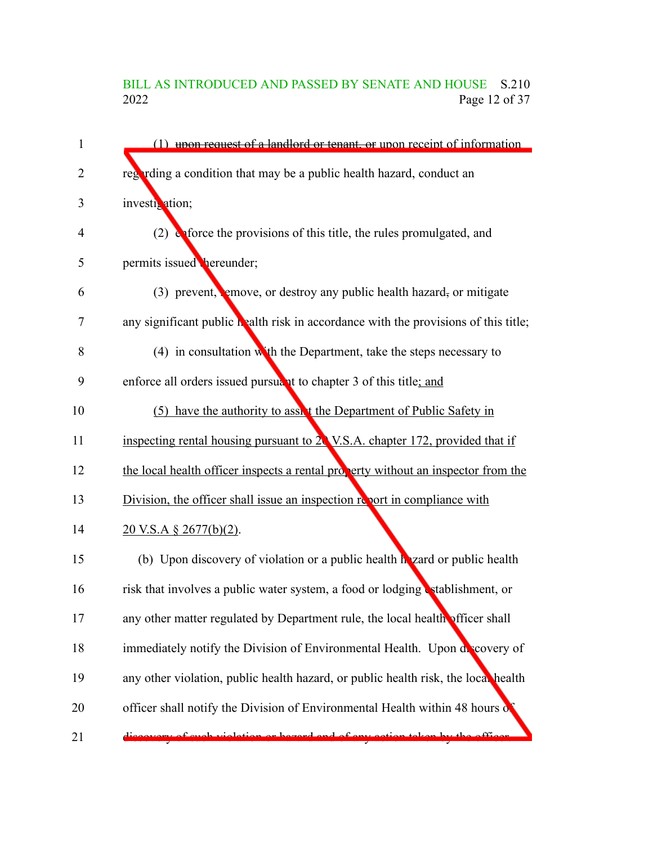### BILL AS INTRODUCED AND PASSED BY SENATE AND HOUSE S.210<br>2022 Page 12 of 37 Page 12 of 37

| $\mathbf{1}$   | (1) upon request of a landlord or tenant, or upon receipt of information            |
|----------------|-------------------------------------------------------------------------------------|
| $\overline{2}$ | regarding a condition that may be a public health hazard, conduct an                |
| 3              | investix ation;                                                                     |
| 4              | $(2)$ express the provisions of this title, the rules promulgated, and              |
| 5              | permits issued bereunder;                                                           |
| 6              | $(3)$ prevent, remove, or destroy any public health hazard, or mitigate             |
| 7              | any significant public health risk in accordance with the provisions of this title; |
| 8              | $(4)$ in consultation with the Department, take the steps necessary to              |
| 9              | enforce all orders issued pursuant to chapter 3 of this title; and                  |
| 10             | (5) have the authority to assist the Department of Public Safety in                 |
| 11             | inspecting rental housing pursuant to 20 V.S.A. chapter 172, provided that if       |
| 12             | the local health officer inspects a rental property without an inspector from the   |
| 13             | Division, the officer shall issue an inspection report in compliance with           |
| 14             | <u>20 V.S.A § 2677(b)(2).</u>                                                       |
| 15             | (b) Upon discovery of violation or a public health he zard or public health         |
| 16             | risk that involves a public water system, a food or lodging stablishment, or        |
| 17             | any other matter regulated by Department rule, the local health officer shall       |
| 18             | immediately notify the Division of Environmental Health. Upon di covery of          |
| 19             | any other violation, public health hazard, or public health risk, the local health  |
| 20             | officer shall notify the Division of Environmental Health within 48 hours of        |
| 21             | <u>n er hazard and ef any.</u>                                                      |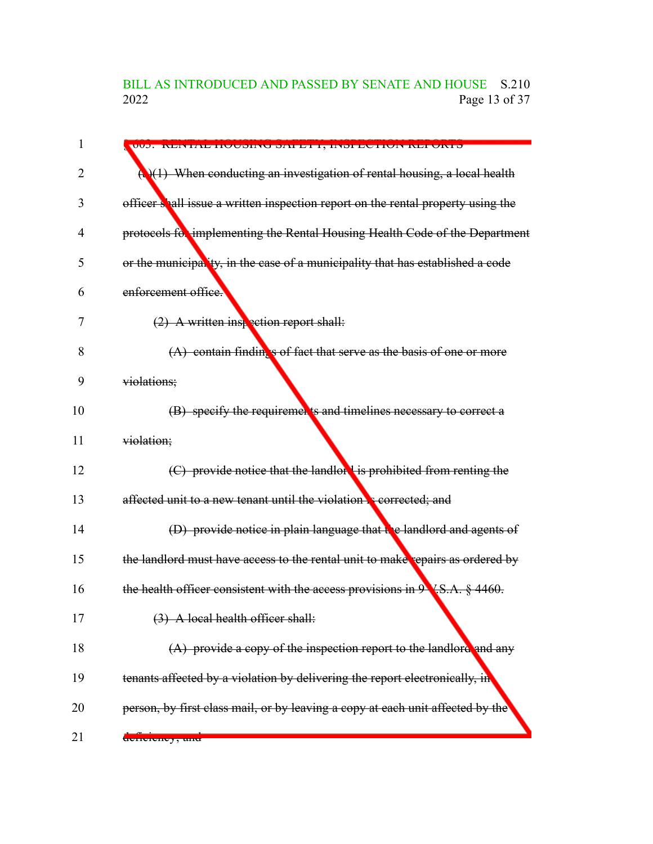### BILL AS INTRODUCED AND PASSED BY SENATE AND HOUSE S.210<br>2022 Page 13 of 37 Page 13 of 37

| 1  |                                                                                                  |
|----|--------------------------------------------------------------------------------------------------|
|    | VVJ. INEN IAE IIVUDINU DATELI, INDI EVI IVN NEI VATD                                             |
| 2  | $\left(\frac{1}{2}\right)(1)$ When conducting an investigation of rental housing, a local health |
| 3  | officer shall issue a written inspection report on the rental property using the                 |
| 4  | protocols for implementing the Rental Housing Health Code of the Department                      |
| 5  | or the municipality, in the case of a municipality that has established a code                   |
| 6  | enforcement office.                                                                              |
| 7  | $(2)$ A written inspection report shall:                                                         |
| 8  | $(A)$ contain findings of fact that serve as the basis of one or more                            |
| 9  | violations;                                                                                      |
| 10 | (B) specify the requirements and timelines necessary to correct a                                |
| 11 | violation;                                                                                       |
| 12 | (C) provide notice that the landlor is prohibited from renting the                               |
| 13 | affected unit to a new tenant until the violation <b>S</b> corrected; and                        |
| 14 | (D) provide notice in plain language that $\mathbf{R}$ e landlord and agents of                  |
| 15 | the landlord must have access to the rental unit to make repairs as ordered by                   |
| 16 | the health officer consistent with the access provisions in $9 \sqrt{S.A. \frac{8}{9}}$ 4460.    |
| 17 | (3) A local health officer shall:                                                                |
| 18 | $(A)$ provide a copy of the inspection report to the landlore and any                            |
| 19 | tenants affected by a violation by delivering the report electronically, in                      |
| 20 | person, by first class mail, or by leaving a copy at each unit affected by the                   |
| 21 | acmoroney, and                                                                                   |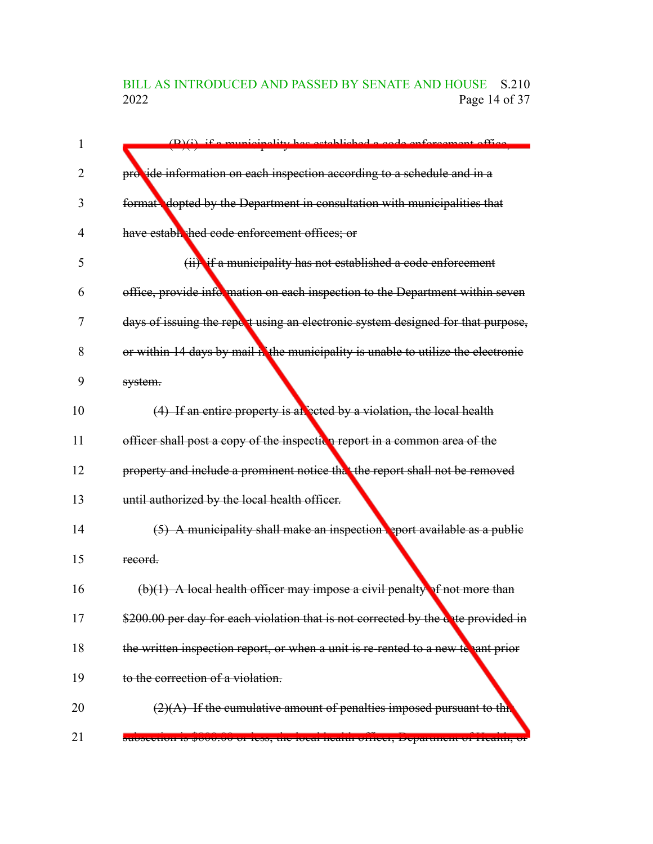### BILL AS INTRODUCED AND PASSED BY SENATE AND HOUSE S.210<br>2022 Page 14 of 37 Page 14 of 37

| 1              | $(D)(i)$ if a municipality has astablished a sade enforcement office              |
|----------------|-----------------------------------------------------------------------------------|
| $\overline{2}$ | provide information on each inspection according to a schedule and in a           |
| 3              | format dopted by the Department in consultation with municipalities that          |
| 4              | have estable hed code enforcement offices; or                                     |
| 5              | (ii) if a municipality has not established a code enforcement                     |
| 6              | office, provide information on each inspection to the Department within seven     |
| 7              | days of issuing the report using an electronic system designed for that purpose,  |
| 8              | or within 14 days by mail in the municipality is unable to utilize the electronic |
| 9              | system.                                                                           |
| 10             | $(4)$ If an entire property is allegeted by a violation, the local health         |
| 11             | officer shall post a copy of the inspection report in a common area of the        |
| 12             | property and include a prominent notice that the report shall not be removed      |
| 13             | until authorized by the local health officer.                                     |
| 14             | $(5)$ A municipality shall make an inspection seport available as a public        |
| 15             | record.                                                                           |
| 16             | $(b)(1)$ A local health officer may impose a civil penalty of not more than       |
| 17             | \$200.00 per day for each violation that is not corrected by the date provided in |
| 18             | the written inspection report, or when a unit is re-rented to a new te ant prior  |
| 19             | to the correction of a violation.                                                 |
| 20             | $(2)(A)$ If the cumulative amount of penalties imposed pursuant to thit           |
| 21             | suoseetton is poot.to of iess, the local neann officer, Department of Ficann, or  |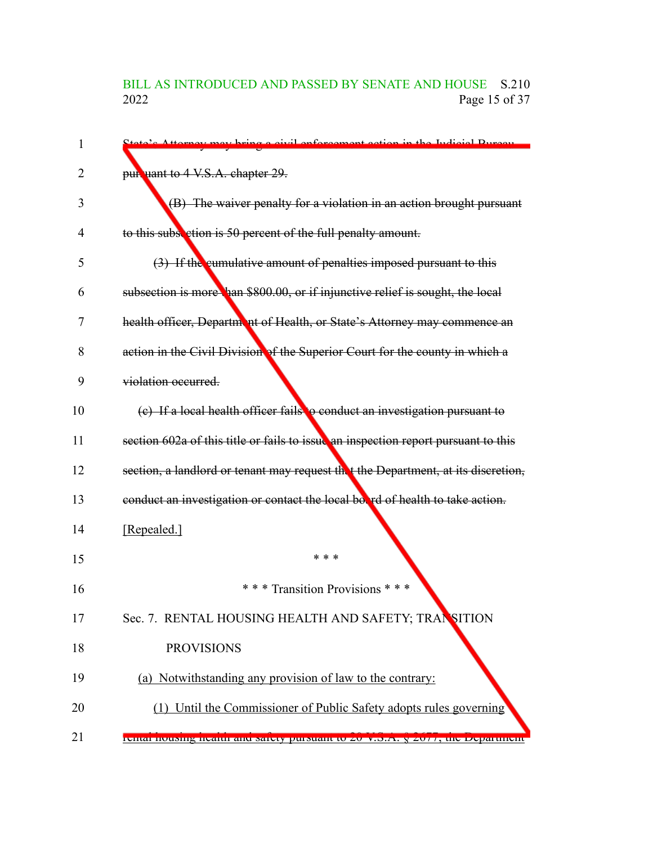# BILL AS INTRODUCED AND PASSED BY SENATE AND HOUSE S.210<br>2022 Page 15 of 37 Page 15 of 37

| 1  | State's Attorney may bring a givil enforcement action in the Indicial Pureau       |
|----|------------------------------------------------------------------------------------|
| 2  | pur uant to 4 V.S.A. chapter 29.                                                   |
| 3  | (B) The waiver penalty for a violation in an action brought pursuant               |
| 4  | to this subsection is 50 percent of the full penalty amount.                       |
| 5  | (3) If the cumulative amount of penalties imposed pursuant to this                 |
| 6  | subsection is more han \$800.00, or if injunctive relief is sought, the local      |
| 7  | health officer, Department of Health, or State's Attorney may commence an          |
| 8  | action in the Civil Division of the Superior Court for the county in which a       |
| 9  | violation occurred.                                                                |
| 10 | (c) If a local health officer fails to conduct an investigation pursuant to        |
| 11 | section 602a of this title or fails to issue an inspection report pursuant to this |
| 12 | section, a landlord or tenant may request the the Department, at its discretion,   |
| 13 | conduct an investigation or contact the local box rd of health to take action.     |
| 14 | [Repealed.]                                                                        |
| 15 | * * *                                                                              |
| 16 | *** Transition Provisions ***                                                      |
| 17 | Sec. 7. RENTAL HOUSING HEALTH AND SAFETY; TRANSITION                               |
| 18 | <b>PROVISIONS</b>                                                                  |
| 19 | (a) Notwithstanding any provision of law to the contrary:                          |
| 20 | (1) Until the Commissioner of Public Safety adopts rules governing                 |
| 21 | rentar nousing nearm and sarety pursuant to zo v.s.A. y zo / /, the Department     |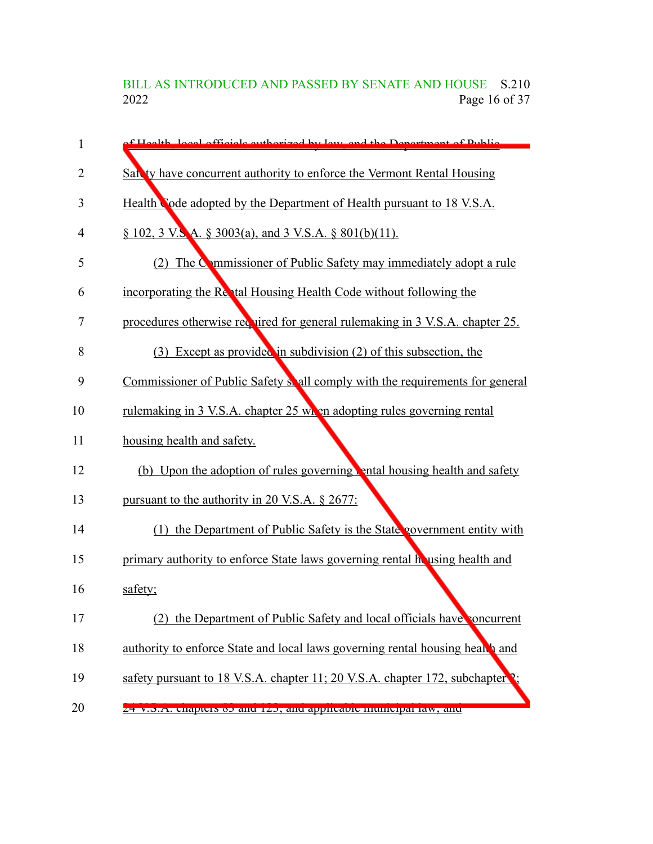BILL AS INTRODUCED AND PASSED BY SENATE AND HOUSE S.210<br>2022 Page 16 of 37 Page 16 of 37

| 1  | f Hoalth local officials outhorized by low and the Department of Public       |
|----|-------------------------------------------------------------------------------|
| 2  | Sat ty have concurrent authority to enforce the Vermont Rental Housing        |
| 3  | Health Code adopted by the Department of Health pursuant to 18 V.S.A.         |
| 4  | $\S$ 102, 3 V.S.A. $\S$ 3003(a), and 3 V.S.A. $\S$ 801(b)(11).                |
| 5  | (2) The Commissioner of Public Safety may immediately adopt a rule            |
| 6  | incorporating the Rental Housing Health Code without following the            |
| 7  | procedures otherwise required for general rulemaking in 3 V.S.A. chapter 25.  |
| 8  | Except as provided in subdivision (2) of this subsection, the<br>(3)          |
| 9  | Commissioner of Public Safety shall comply with the requirements for general  |
| 10 | rulemaking in 3 V.S.A. chapter 25 when adopting rules governing rental        |
| 11 | housing health and safety.                                                    |
| 12 | (b) Upon the adoption of rules governing ental housing health and safety      |
| 13 | pursuant to the authority in 20 V.S.A. $\S$ 2677:                             |
| 14 | (1) the Department of Public Safety is the State government entity with       |
| 15 | primary authority to enforce State laws governing rental housing health and   |
| 16 | safety;                                                                       |
| 17 | (2) the Department of Public Safety and local officials have concurrent       |
| 18 | authority to enforce State and local laws governing rental housing health and |
| 19 | safety pursuant to 18 V.S.A. chapter 11; 20 V.S.A. chapter 172, subchapter ?; |
| 20 | $Z$ + v.o.A. chapters ob and 1 $Z$ o, and appheable mumelpariaw, and          |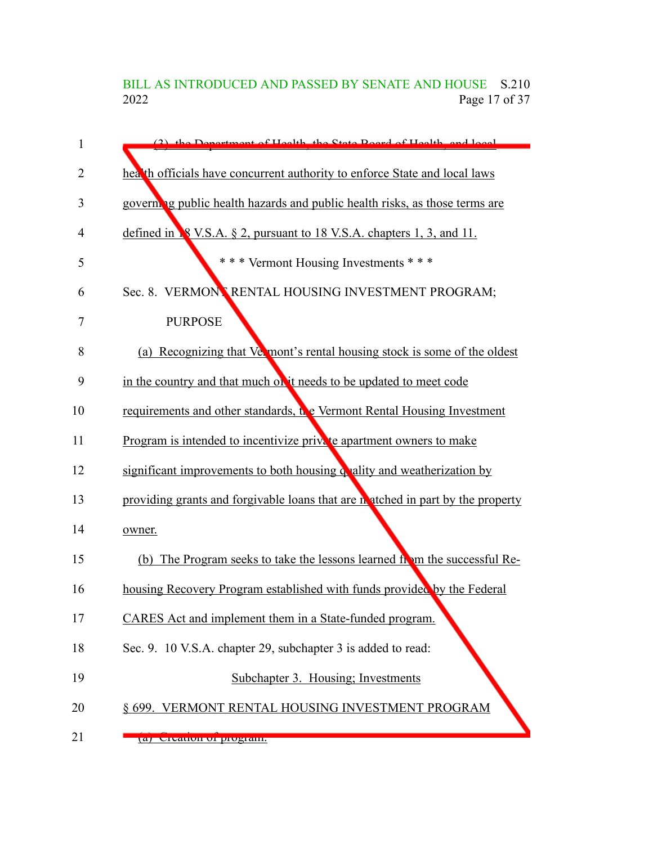BILL AS INTRODUCED AND PASSED BY SENATE AND HOUSE S.210<br>2022 Page 17 of 37 Page 17 of 37

| 1  | (2) the Department of Hoalth, the State Roard of Hoalth, and local             |
|----|--------------------------------------------------------------------------------|
| 2  | heat th officials have concurrent authority to enforce State and local laws    |
| 3  | governing public health hazards and public health risks, as those terms are    |
| 4  | defined in <b>8</b> V.S.A. § 2, pursuant to 18 V.S.A. chapters 1, 3, and 11.   |
| 5  | *** Vermont Housing Investments ***                                            |
| 6  | Sec. 8. VERMONNRENTAL HOUSING INVESTMENT PROGRAM;                              |
| 7  | <b>PURPOSE</b>                                                                 |
| 8  | (a) Recognizing that Vermont's rental housing stock is some of the oldest      |
| 9  | in the country and that much on it needs to be updated to meet code            |
| 10 | requirements and other standards, the Vermont Rental Housing Investment        |
| 11 | Program is intended to incentivize private apartment owners to make            |
| 12 | significant improvements to both housing quality and weatherization by         |
| 13 | providing grants and forgivable loans that are natched in part by the property |
| 14 | owner.                                                                         |
| 15 | (b) The Program seeks to take the lessons learned from the successful Re-      |
| 16 | housing Recovery Program established with funds provided by the Federal        |
| 17 | CARES Act and implement them in a State-funded program.                        |
| 18 | Sec. 9. 10 V.S.A. chapter 29, subchapter 3 is added to read:                   |
| 19 | Subchapter 3. Housing; Investments                                             |
| 20 | § 699. VERMONT RENTAL HOUSING INVESTMENT PROGRAM                               |
| 21 | a) Utanun ur program.                                                          |
|    |                                                                                |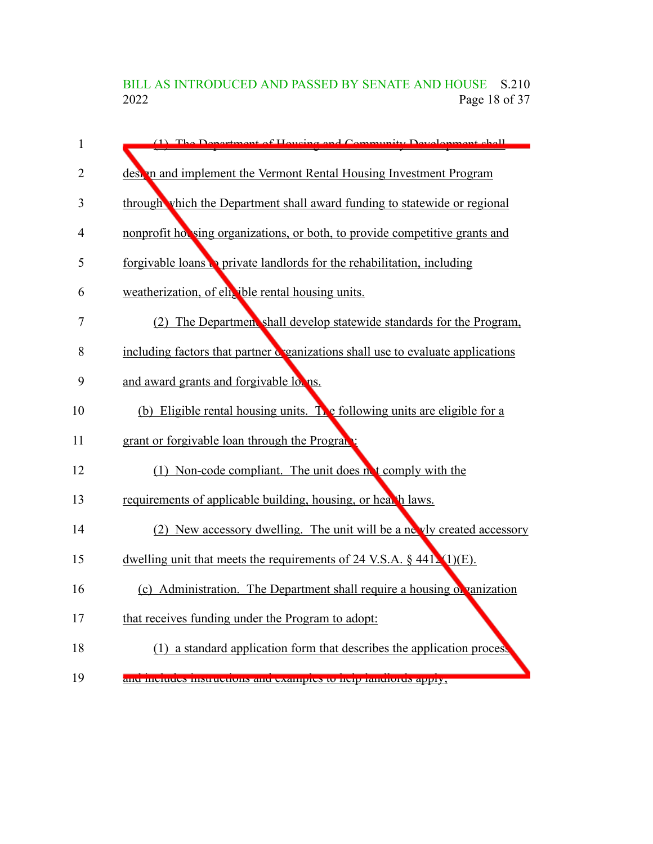BILL AS INTRODUCED AND PASSED BY SENATE AND HOUSE S.210<br>2022 Page 18 of 37 Page 18 of 37

| 1              | (1) The Department of Housing and Community Development shall                   |
|----------------|---------------------------------------------------------------------------------|
| $\overline{2}$ | design and implement the Vermont Rental Housing Investment Program              |
| 3              | through which the Department shall award funding to statewide or regional       |
| 4              | nonprofit hot sing organizations, or both, to provide competitive grants and    |
| 5              | forgivable loans to private landlords for the rehabilitation, including         |
| 6              | weatherization, of ela ible rental housing units.                               |
| 7              | (2) The Department shall develop statewide standards for the Program,           |
| 8              | including factors that partner c ganizations shall use to evaluate applications |
| 9              | and award grants and forgivable loons.                                          |
| 10             | (b) Eligible rental housing units. The following units are eligible for a       |
| 11             | grant or forgivable loan through the Program                                    |
| 12             | (1) Non-code compliant. The unit does not comply with the                       |
| 13             | requirements of applicable building, housing, or health laws.                   |
| 14             | (2) New accessory dwelling. The unit will be a ne vly created accessory         |
| 15             | dwelling unit that meets the requirements of 24 V.S.A. $\S$ 441. (1)(E).        |
| 16             | (c) Administration. The Department shall require a housing of vanization        |
| 17             | that receives funding under the Program to adopt:                               |
| 18             | (1) a standard application form that describes the application process          |
| 19             | <mark>ани шениись німиисионь ани сланірісь ю неїр таниютиз арріу,</mark>        |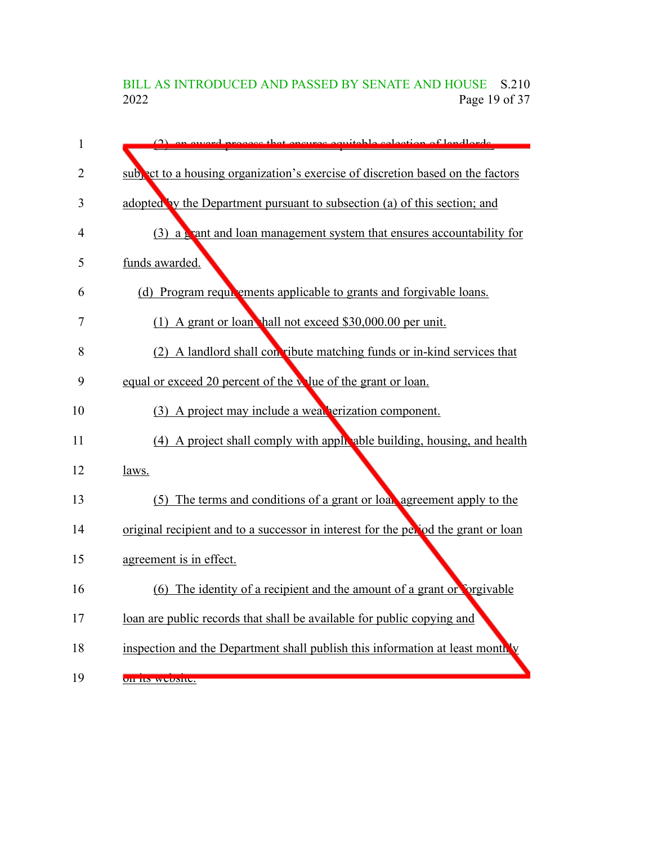BILL AS INTRODUCED AND PASSED BY SENATE AND HOUSE S.210<br>2022 Page 19 of 37 Page 19 of 37

| $\mathbf{1}$   | (2) on oward process that encures equitable selection of landlards                |
|----------------|-----------------------------------------------------------------------------------|
| $\overline{2}$ | subpact to a housing organization's exercise of discretion based on the factors   |
| 3              | adopted by the Department pursuant to subsection (a) of this section; and         |
| 4              | $(3)$ a grant and loan management system that ensures accountability for          |
| 5              | funds awarded.                                                                    |
| 6              | (d) Program requirements applicable to grants and forgivable loans.               |
| 7              | (1) A grant or loan hall not exceed \$30,000.00 per unit.                         |
| 8              | (2) A landlord shall convibute matching funds or in-kind services that            |
| 9              | equal or exceed 20 percent of the volue of the grant or loan.                     |
| 10             |                                                                                   |
|                | (3) A project may include a weak erization component.                             |
| 11             | (4) A project shall comply with apply able building, housing, and health          |
| 12             | laws.                                                                             |
| 13             | (5) The terms and conditions of a grant or loan agreement apply to the            |
| 14             | original recipient and to a successor in interest for the perod the grant or loan |
| 15             | agreement is in effect.                                                           |
| 16             | (6) The identity of a recipient and the amount of a grant or corgivable           |
| 17             | loan are public records that shall be available for public copying and            |
| 18             | inspection and the Department shall publish this information at least month, v    |
| 19             | UII ILS WUUSILU.                                                                  |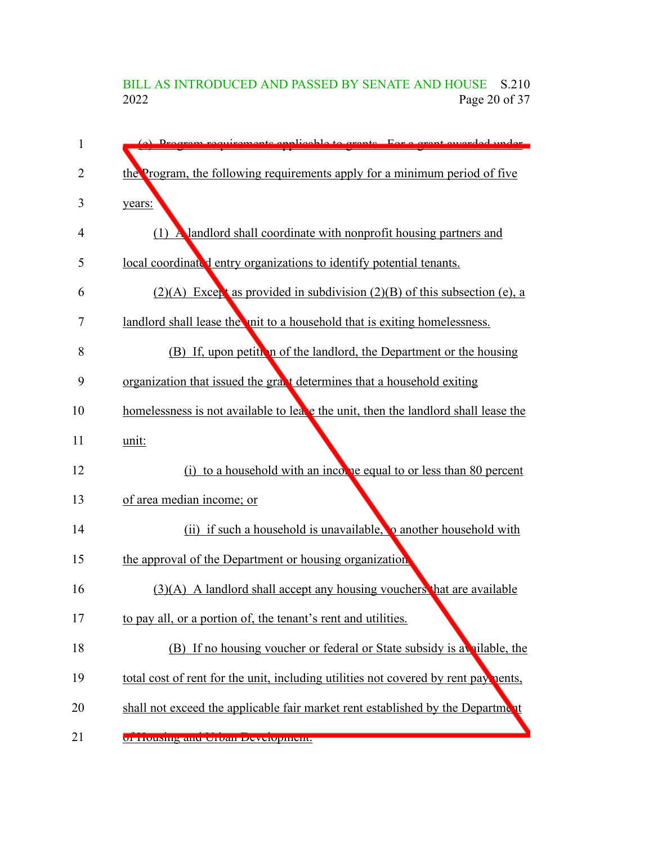## BILL AS INTRODUCED AND PASSED BY SENATE AND HOUSE S.210<br>2022 Page 20 of 37 Page 20 of 37

| 1  | (a) Dragram requirements applicable to graphs. For a graph away                     |
|----|-------------------------------------------------------------------------------------|
| 2  | the Program, the following requirements apply for a minimum period of five          |
| 3  | years:                                                                              |
| 4  | (1) A landlord shall coordinate with nonprofit housing partners and                 |
| 5  | local coordinated entry organizations to identify potential tenants.                |
| 6  | $(2)(A)$ Except as provided in subdivision $(2)(B)$ of this subsection (e), a       |
| 7  | landlord shall lease the unit to a household that is exiting homelessness.          |
| 8  | (B) If, upon petition of the landlord, the Department or the housing                |
| 9  | organization that issued the grant determines that a household exiting              |
| 10 | homelessness is not available to leate the unit, then the landlord shall lease the  |
| 11 | unit:                                                                               |
| 12 | to a household with an income equal to or less than 80 percent<br>(i)               |
| 13 | of area median income; or                                                           |
| 14 | (ii) if such a household is unavailable, <b>o</b> another household with            |
| 15 | the approval of the Department or housing organization                              |
| 16 | $(3)(A)$ A landlord shall accept any housing vouchers that are available            |
| 17 | to pay all, or a portion of, the tenant's rent and utilities.                       |
| 18 | (B) If no housing voucher or federal or State subsidy is a vailable, the            |
| 19 | total cost of rent for the unit, including utilities not covered by rent pay nents, |
| 20 | shall not exceed the applicable fair market rent established by the Department      |
| 21 | <u>UI TIUUSINY ANU UTUAN DEVERDINENT.</u>                                           |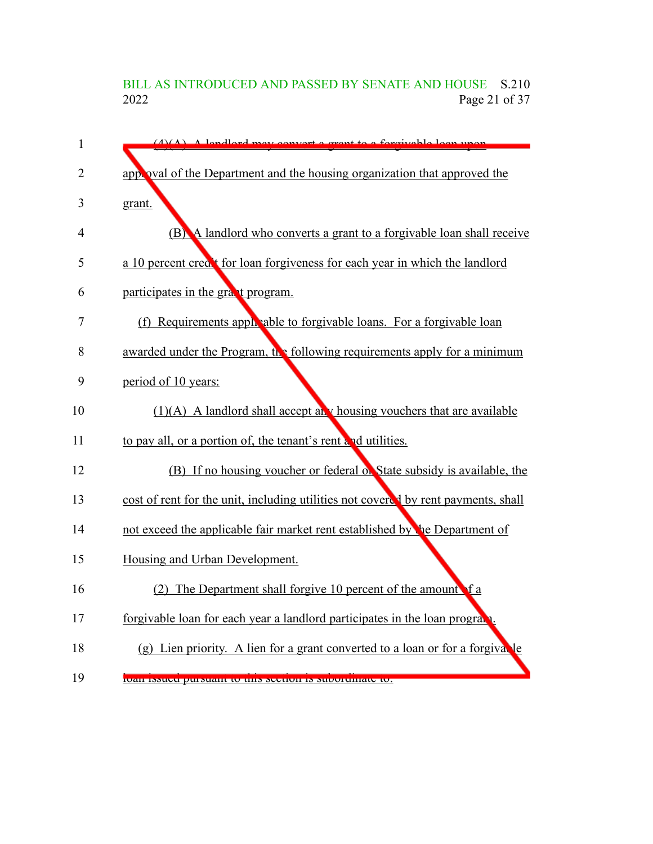## BILL AS INTRODUCED AND PASSED BY SENATE AND HOUSE S.210<br>2022 Page 21 of 37 Page 21 of 37

| $\mathbf{1}$ | $(A)(A)$ A long long convert a great to a forgive blog upon                        |
|--------------|------------------------------------------------------------------------------------|
| 2            | applicible applicible Department and the housing organization that approved the    |
| 3            | grant.                                                                             |
| 4            | (B) A landlord who converts a grant to a forgivable loan shall receive             |
| 5            | a 10 percent creat for loan forgiveness for each year in which the landlord        |
| 6            | participates in the graat program.                                                 |
| 7            | (f) Requirements apply able to forgivable loans. For a forgivable loan             |
| 8            | awarded under the Program, the following requirements apply for a minimum          |
| 9            | period of 10 years:                                                                |
| 10           | $(1)(A)$ A landlord shall accept any housing vouchers that are available           |
| 11           | to pay all, or a portion of, the tenant's rent and utilities.                      |
| 12           | (B) If no housing voucher or federal of State subsidy is available, the            |
| 13           | cost of rent for the unit, including utilities not covered by rent payments, shall |
| 14           | not exceed the applicable fair market rent established by the Department of        |
| 15           | Housing and Urban Development.                                                     |
| 16           | (2) The Department shall forgive 10 percent of the amount of a                     |
| 17           | forgivable loan for each year a landlord participates in the loan program.         |
| 18           | (g) Lien priority. A lien for a grant converted to a loan or for a forgivable      |
| 19           | loan issued pursuant to this section is subordinate to.                            |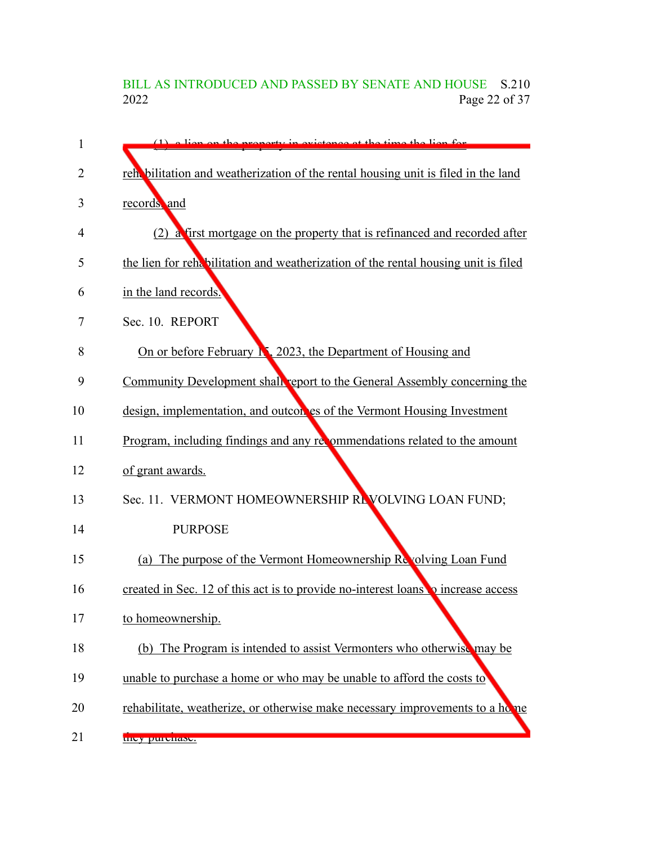## BILL AS INTRODUCED AND PASSED BY SENATE AND HOUSE S.210<br>2022 Page 22 of 37 Page 22 of 37

| 1  | $(1)$ a liep on the property in evictores at the time the liep for                 |
|----|------------------------------------------------------------------------------------|
| 2  | reht bilitation and weatherization of the rental housing unit is filed in the land |
| 3  | records and                                                                        |
| 4  | (2) a first mortgage on the property that is refinanced and recorded after         |
| 5  | the lien for rehabilitation and weatherization of the rental housing unit is filed |
| 6  | in the land records.                                                               |
| 7  | Sec. 10. REPORT                                                                    |
| 8  | On or before February N, 2023, the Department of Housing and                       |
| 9  | Community Development shall report to the General Assembly concerning the          |
| 10 | design, implementation, and outcon es of the Vermont Housing Investment            |
| 11 | Program, including findings and any recommendations related to the amount          |
| 12 | of grant awards.                                                                   |
| 13 | Sec. 11. VERMONT HOMEOWNERSHIP REVOLVING LOAN FUND;                                |
| 14 | <b>PURPOSE</b>                                                                     |
| 15 | (a) The purpose of the Vermont Homeownership Revolving Loan Fund                   |
| 16 | created in Sec. 12 of this act is to provide no-interest loans to increase access  |
| 17 | to homeownership.                                                                  |
| 18 | (b) The Program is intended to assist Vermonters who otherwise may be              |
| 19 | unable to purchase a home or who may be unable to afford the costs to              |
| 20 | rehabilitate, weatherize, or otherwise make necessary improvements to a home       |
| 21 | they purchase.                                                                     |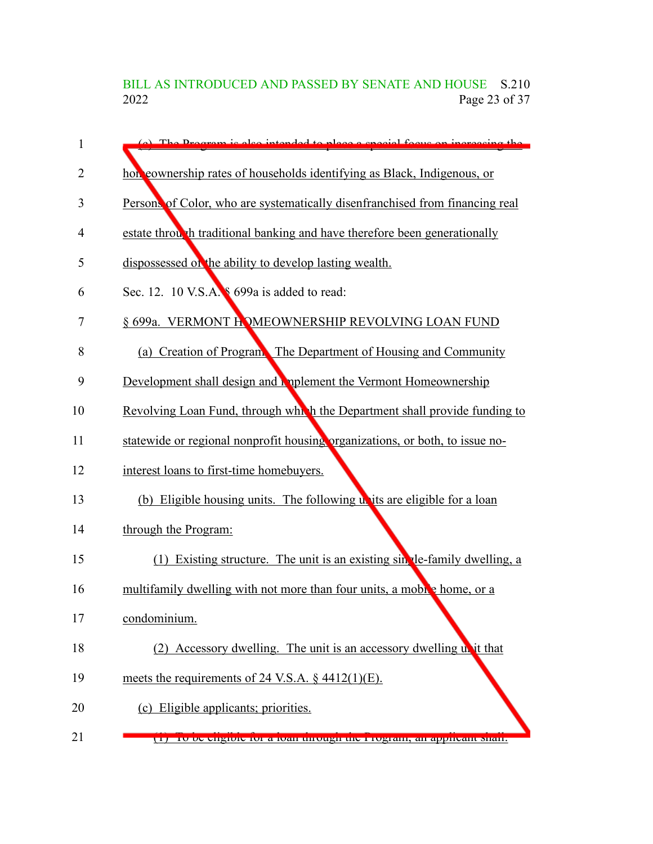BILL AS INTRODUCED AND PASSED BY SENATE AND HOUSE S.210<br>2022 Page 23 of 37 Page 23 of 37

| 1  | (a) The Program is also intended to place a special focus on increasing the  |
|----|------------------------------------------------------------------------------|
| 2  | hor cownership rates of households identifying as Black, Indigenous, or      |
| 3  | Persons of Color, who are systematically disenfranchised from financing real |
| 4  | estate through traditional banking and have therefore been generationally    |
| 5  | dispossessed of the ability to develop lasting wealth.                       |
| 6  | Sec. 12. 10 V.S.A. § 699a is added to read:                                  |
| 7  | § 699a. VERMONT HOMEOWNERSHIP REVOLVING LOAN FUND                            |
| 8  | (a) Creation of Program. The Department of Housing and Community             |
| 9  | Development shall design and <b>Applement</b> the Vermont Homeownership      |
| 10 | Revolving Loan Fund, through which the Department shall provide funding to   |
| 11 | statewide or regional nonprofit housing organizations, or both, to issue no- |
| 12 | interest loans to first-time homebuyers.                                     |
| 13 | (b) Eligible housing units. The following units are eligible for a loan      |
| 14 | through the Program:                                                         |
| 15 | (1) Existing structure. The unit is an existing sin tle-family dwelling, a   |
| 16 | multifamily dwelling with not more than four units, a mobile home, or a      |
| 17 | condominium.                                                                 |
| 18 | (2) Accessory dwelling. The unit is an accessory dwelling unit that          |
| 19 | meets the requirements of 24 V.S.A. $\S$ 4412(1)(E).                         |
| 20 | (c) Eligible applicants; priorities.                                         |
| 21 | 11 10 De engloie for a loan unough the Frogram, an applicant shan.           |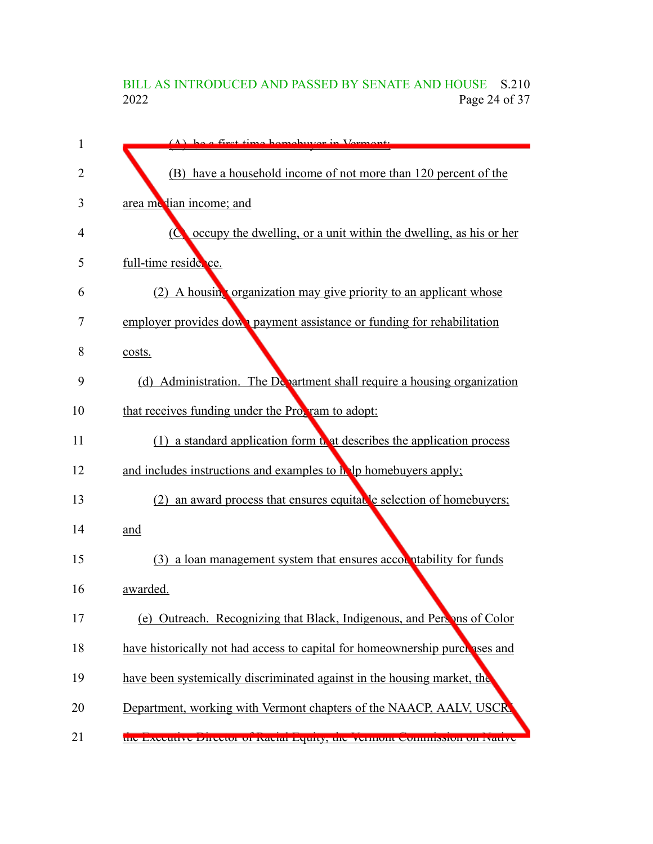## BILL AS INTRODUCED AND PASSED BY SENATE AND HOUSE S.210<br>2022 Page 24 of 37 Page 24 of 37

| 1  | $(\Lambda)$ be a first time hamely ver in Vermant.                                  |
|----|-------------------------------------------------------------------------------------|
| 2  | (B) have a household income of not more than 120 percent of the                     |
| 3  | area me lian income; and                                                            |
| 4  | occupy the dwelling, or a unit within the dwelling, as his or her<br>$\overline{C}$ |
| 5  | full-time reside ce.                                                                |
| 6  | (2) A housing organization may give priority to an applicant whose                  |
| 7  | employer provides down payment assistance or funding for rehabilitation             |
| 8  | costs.                                                                              |
| 9  | (d) Administration. The Department shall require a housing organization             |
| 10 | that receives funding under the Program to adopt:                                   |
| 11 | a standard application form that describes the application process<br>(1)           |
| 12 | and includes instructions and examples to help homebuyers apply;                    |
| 13 | an award process that ensures equitable selection of homebuyers;<br>(2)             |
| 14 | and                                                                                 |
| 15 | (3) a loan management system that ensures accountability for funds                  |
| 16 | awarded.                                                                            |
| 17 | (e) Outreach. Recognizing that Black, Indigenous, and Persons of Color              |
| 18 | have historically not had access to capital for homeownership purchases and         |
| 19 | have been systemically discriminated against in the housing market, the             |
| 20 | Department, working with Vermont chapters of the NAACP, AALV, USCR                  |
| 21 | the Executive Director of Kacial Equity, the vermont commission on Ivalive          |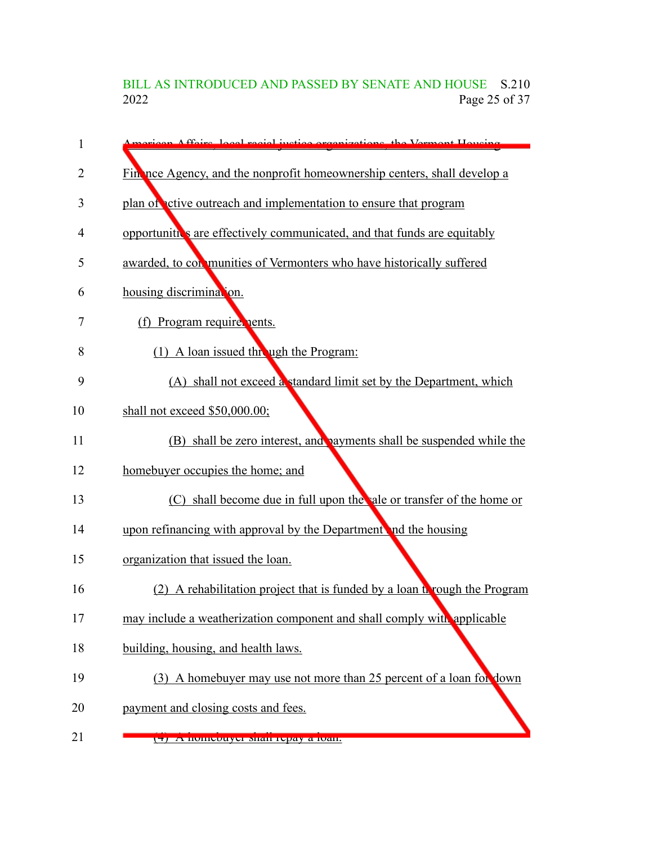BILL AS INTRODUCED AND PASSED BY SENATE AND HOUSE S.210<br>2022 Page 25 of 37 Page 25 of 37

| 1  | siego Affairs, local regiol instige organizations, the Vermont Housing     |
|----|----------------------------------------------------------------------------|
| 2  | Fin nce Agency, and the nonprofit homeownership centers, shall develop a   |
| 3  | plan of ctive outreach and implementation to ensure that program           |
| 4  | opportunities are effectively communicated, and that funds are equitably   |
| 5  | awarded, to con munities of Vermonters who have historically suffered      |
| 6  | housing discrimination.                                                    |
| 7  | (f) Program require nents.                                                 |
| 8  | (1) A loan issued this ugh the Program:                                    |
| 9  | (A) shall not exceed a standard limit set by the Department, which         |
| 10 | shall not exceed \$50,000.00;                                              |
| 11 | (B) shall be zero interest, and payments shall be suspended while the      |
| 12 | homebuyer occupies the home; and                                           |
| 13 | (C) shall become due in full upon the ale or transfer of the home or       |
| 14 | upon refinancing with approval by the Department and the housing           |
| 15 | organization that issued the loan.                                         |
| 16 | (2) A rehabilitation project that is funded by a loan to rough the Program |
| 17 | may include a weatherization component and shall comply with applicable    |
| 18 | building, housing, and health laws.                                        |
| 19 | (3) A homebuyer may use not more than 25 percent of a loan for down        |
| 20 | payment and closing costs and fees.                                        |
| 21 | (F) A nomeouyer shan repay a loan.                                         |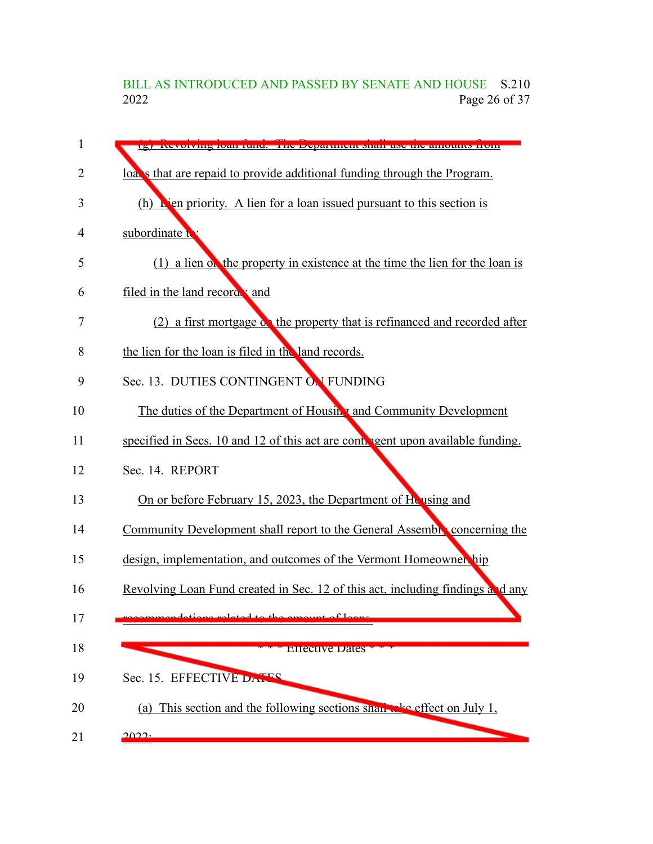#### BILL AS INTRODUCED AND PASSED BY SENATE AND HOUSE S.210 2022 Page 26 of 37

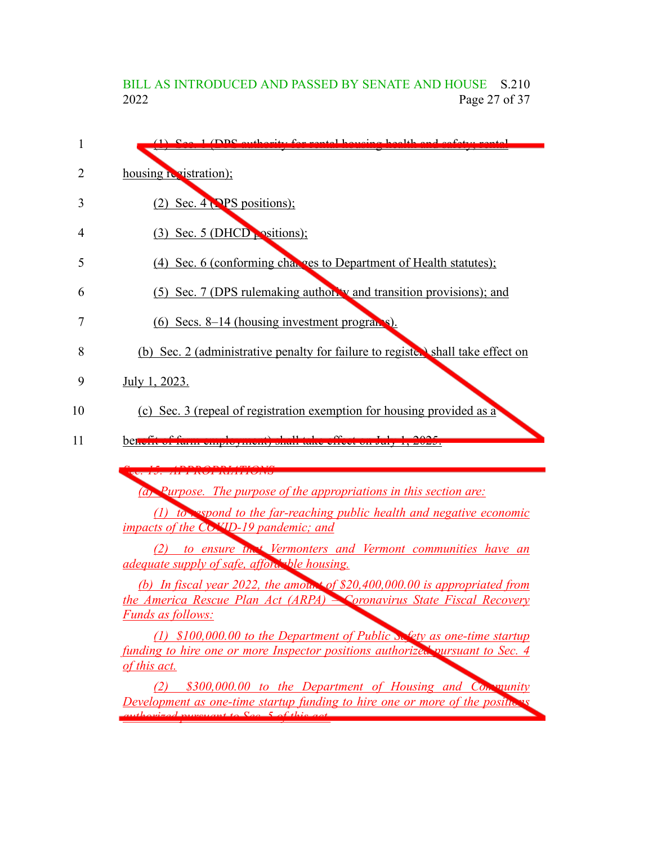## BILL AS INTRODUCED AND PASSED BY SENATE AND HOUSE S.210<br>2022 Page 27 of 37 Page 27 of 37

| housing registration);<br>$(2)$ Sec. 4 (PPS positions);<br>$(3)$ Sec. 5 (DHCD $\sim$ sitions);<br>(4) Sec. 6 (conforming changes to Department of Health statutes);<br>(5) Sec. 7 (DPS rulemaking authority and transition provisions); and<br>$(6)$ Secs. 8–14 (housing investment programs).<br>July 1, 2023.<br>(c) Sec. 3 (repeal of registration exemption for housing provided as a<br>believe of turn emproyment, onun ture erreet on sury 1,<br><b><i><u> Le terre de la parte de la parte de la parte de la parte de la parte de la parte de la parte de la parte de la parte de la parte de la parte de la parte de la parte de la parte de la parte de la parte de la parte de la</u></i></b><br>(a) Purpose. The purpose of the appropriations in this section are:<br><i>impacts of the COMD-19 pandemic; and</i><br><i>adequate supply of safe, afford</i> the housing.<br>the America Rescue Plan Act (ARPA) Coronavirus State Fiscal Recovery<br><b>Funds as follows:</b><br>funding to hire one or more Inspector positions authorized pursuant to Sec. 4<br>of this act.<br>(2)<br>Development as one-time startup funding to hire one or more of the positive as | 1 (DDC outhought: for montal housing health and safety                                                                                                                       |
|-------------------------------------------------------------------------------------------------------------------------------------------------------------------------------------------------------------------------------------------------------------------------------------------------------------------------------------------------------------------------------------------------------------------------------------------------------------------------------------------------------------------------------------------------------------------------------------------------------------------------------------------------------------------------------------------------------------------------------------------------------------------------------------------------------------------------------------------------------------------------------------------------------------------------------------------------------------------------------------------------------------------------------------------------------------------------------------------------------------------------------------------------------------------------------------|------------------------------------------------------------------------------------------------------------------------------------------------------------------------------|
|                                                                                                                                                                                                                                                                                                                                                                                                                                                                                                                                                                                                                                                                                                                                                                                                                                                                                                                                                                                                                                                                                                                                                                                     |                                                                                                                                                                              |
|                                                                                                                                                                                                                                                                                                                                                                                                                                                                                                                                                                                                                                                                                                                                                                                                                                                                                                                                                                                                                                                                                                                                                                                     |                                                                                                                                                                              |
|                                                                                                                                                                                                                                                                                                                                                                                                                                                                                                                                                                                                                                                                                                                                                                                                                                                                                                                                                                                                                                                                                                                                                                                     |                                                                                                                                                                              |
|                                                                                                                                                                                                                                                                                                                                                                                                                                                                                                                                                                                                                                                                                                                                                                                                                                                                                                                                                                                                                                                                                                                                                                                     |                                                                                                                                                                              |
|                                                                                                                                                                                                                                                                                                                                                                                                                                                                                                                                                                                                                                                                                                                                                                                                                                                                                                                                                                                                                                                                                                                                                                                     |                                                                                                                                                                              |
|                                                                                                                                                                                                                                                                                                                                                                                                                                                                                                                                                                                                                                                                                                                                                                                                                                                                                                                                                                                                                                                                                                                                                                                     |                                                                                                                                                                              |
|                                                                                                                                                                                                                                                                                                                                                                                                                                                                                                                                                                                                                                                                                                                                                                                                                                                                                                                                                                                                                                                                                                                                                                                     | (b) Sec. 2 (administrative penalty for failure to register) shall take effect on                                                                                             |
|                                                                                                                                                                                                                                                                                                                                                                                                                                                                                                                                                                                                                                                                                                                                                                                                                                                                                                                                                                                                                                                                                                                                                                                     |                                                                                                                                                                              |
|                                                                                                                                                                                                                                                                                                                                                                                                                                                                                                                                                                                                                                                                                                                                                                                                                                                                                                                                                                                                                                                                                                                                                                                     |                                                                                                                                                                              |
|                                                                                                                                                                                                                                                                                                                                                                                                                                                                                                                                                                                                                                                                                                                                                                                                                                                                                                                                                                                                                                                                                                                                                                                     |                                                                                                                                                                              |
|                                                                                                                                                                                                                                                                                                                                                                                                                                                                                                                                                                                                                                                                                                                                                                                                                                                                                                                                                                                                                                                                                                                                                                                     |                                                                                                                                                                              |
|                                                                                                                                                                                                                                                                                                                                                                                                                                                                                                                                                                                                                                                                                                                                                                                                                                                                                                                                                                                                                                                                                                                                                                                     |                                                                                                                                                                              |
|                                                                                                                                                                                                                                                                                                                                                                                                                                                                                                                                                                                                                                                                                                                                                                                                                                                                                                                                                                                                                                                                                                                                                                                     | $(1)$ to expond to the far-reaching public health and negative economic                                                                                                      |
|                                                                                                                                                                                                                                                                                                                                                                                                                                                                                                                                                                                                                                                                                                                                                                                                                                                                                                                                                                                                                                                                                                                                                                                     |                                                                                                                                                                              |
|                                                                                                                                                                                                                                                                                                                                                                                                                                                                                                                                                                                                                                                                                                                                                                                                                                                                                                                                                                                                                                                                                                                                                                                     | (2) to ensure that Vermonters and Vermont communities have an                                                                                                                |
|                                                                                                                                                                                                                                                                                                                                                                                                                                                                                                                                                                                                                                                                                                                                                                                                                                                                                                                                                                                                                                                                                                                                                                                     |                                                                                                                                                                              |
|                                                                                                                                                                                                                                                                                                                                                                                                                                                                                                                                                                                                                                                                                                                                                                                                                                                                                                                                                                                                                                                                                                                                                                                     |                                                                                                                                                                              |
|                                                                                                                                                                                                                                                                                                                                                                                                                                                                                                                                                                                                                                                                                                                                                                                                                                                                                                                                                                                                                                                                                                                                                                                     |                                                                                                                                                                              |
|                                                                                                                                                                                                                                                                                                                                                                                                                                                                                                                                                                                                                                                                                                                                                                                                                                                                                                                                                                                                                                                                                                                                                                                     |                                                                                                                                                                              |
|                                                                                                                                                                                                                                                                                                                                                                                                                                                                                                                                                                                                                                                                                                                                                                                                                                                                                                                                                                                                                                                                                                                                                                                     | (b) In fiscal year 2022, the amount of \$20,400,000.00 is appropriated from<br>(1) $$100,000.00$ to the Department of Public $\mathcal{S}_{\alpha}$ fety as one-time startup |
|                                                                                                                                                                                                                                                                                                                                                                                                                                                                                                                                                                                                                                                                                                                                                                                                                                                                                                                                                                                                                                                                                                                                                                                     |                                                                                                                                                                              |
| $th$ orizad purcuant to $\cos 5$ of this                                                                                                                                                                                                                                                                                                                                                                                                                                                                                                                                                                                                                                                                                                                                                                                                                                                                                                                                                                                                                                                                                                                                            | \$300,000.00 to the Department of Housing and Contraunity                                                                                                                    |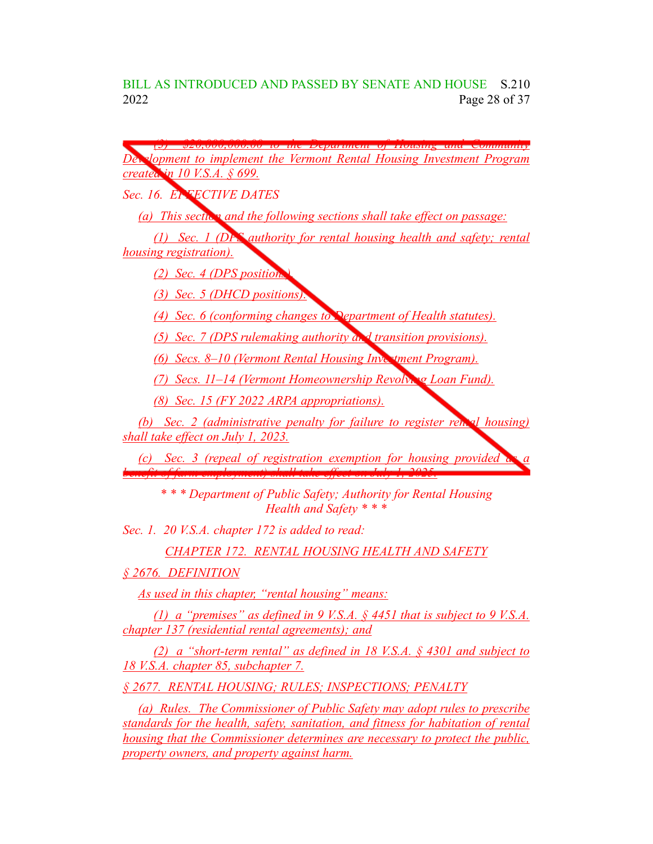*(3) \$20,000,000.00 to the Department of Housing and Community Development to implement the Vermont Rental Housing Investment Program created in 10 V.S.A. § 699. Sec. 16. EFFECTIVE DATES (a) This section and the following sections shall take effect on passage: (1) Sec. 1 (DPS authority for rental housing health and safety; rental housing registration). (2) Sec. 4 (DPS positions). (3) Sec. 5 (DHCD positions). (4) Sec. 6 (conforming changes to Department of Health statutes). (5) Sec. 7 (DPS rulemaking authority and transition provisions). (6) Secs. 8–10 (Vermont Rental Housing Investment Program). (7) Secs. 11–14 (Vermont Homeownership Revolving Loan Fund). (8) Sec. 15 (FY 2022 ARPA appropriations). (b) Sec. 2 (administrative penalty for failure to register rental housing) shall take effect on July 1, 2023. (c) Sec. 3 (repeal of registration exemption for housing provided as a benefit of farm employment) shall take effect on July 1, 2025. \* \* \* Department of Public Safety; Authority for Rental Housing Health and Safety \* \* \* Sec. 1. 20 V.S.A. chapter 172 is added to read:*

*CHAPTER 172. RENTAL HOUSING HEALTH AND SAFETY*

*§ 2676. DEFINITION*

*As used in this chapter, "rental housing" means:*

*(1) a "premises" as defined in 9 V.S.A. § 4451 that is subject to 9 V.S.A. chapter 137 (residential rental agreements); and*

*(2) a "short-term rental" as defined in 18 V.S.A. § 4301 and subject to 18 V.S.A. chapter 85, subchapter 7.*

*§ 2677. RENTAL HOUSING; RULES; INSPECTIONS; PENALTY*

*(a) Rules. The Commissioner of Public Safety may adopt rules to prescribe standards for the health, safety, sanitation, and fitness for habitation of rental housing that the Commissioner determines are necessary to protect the public, property owners, and property against harm.*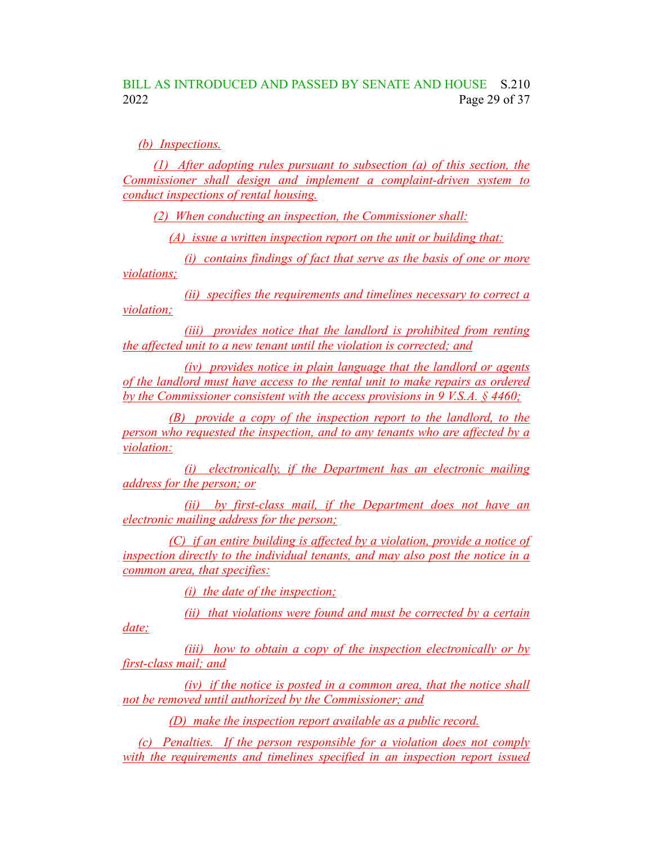#### BILL AS INTRODUCED AND PASSED BY SENATE AND HOUSE S.210 2022 Page 29 of 37

*(b) Inspections.*

*(1) After adopting rules pursuant to subsection (a) of this section, the Commissioner shall design and implement a complaint-driven system to conduct inspections of rental housing.*

*(2) When conducting an inspection, the Commissioner shall:*

*(A) issue a written inspection report on the unit or building that:*

*(i) contains findings of fact that serve as the basis of one or more violations;*

*(ii) specifies the requirements and timelines necessary to correct a violation;*

*(iii) provides notice that the landlord is prohibited from renting the affected unit to a new tenant until the violation is corrected; and*

*(iv) provides notice in plain language that the landlord or agents of the landlord must have access to the rental unit to make repairs as ordered by the Commissioner consistent with the access provisions in 9 V.S.A. § 4460;*

*(B) provide a copy of the inspection report to the landlord, to the person who requested the inspection, and to any tenants who are affected by a violation:*

*(i) electronically, if the Department has an electronic mailing address for the person; or*

*(ii) by first-class mail, if the Department does not have an electronic mailing address for the person;*

*(C) if an entire building is affected by a violation, provide a notice of inspection directly to the individual tenants, and may also post the notice in a common area, that specifies:*

*(i) the date of the inspection;*

*date;*

*(ii) that violations were found and must be corrected by a certain*

*(iii) how to obtain a copy of the inspection electronically or by first-class mail; and*

*(iv) if the notice is posted in a common area, that the notice shall not be removed until authorized by the Commissioner; and*

*(D) make the inspection report available as a public record.*

*(c) Penalties. If the person responsible for a violation does not comply with the requirements and timelines specified in an inspection report issued*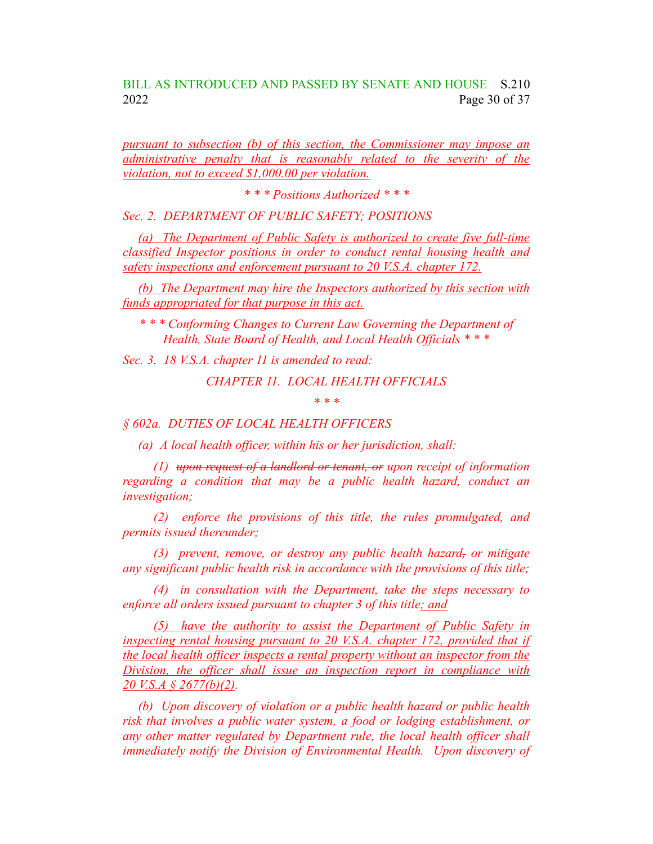#### BILL AS INTRODUCED AND PASSED BY SENATE AND HOUSE S.210 2022 Page 30 of 37

*pursuant to subsection (b) of this section, the Commissioner may impose an administrative penalty that is reasonably related to the severity of the violation, not to exceed \$1,000.00 per violation.*

*\* \* \* Positions Authorized \* \* \**

*Sec. 2. DEPARTMENT OF PUBLIC SAFETY; POSITIONS*

*(a) The Department of Public Safety is authorized to create five full-time classified Inspector positions in order to conduct rental housing health and safety inspections and enforcement pursuant to 20 V.S.A. chapter 172.*

*(b) The Department may hire the Inspectors authorized by this section with funds appropriated for that purpose in this act.*

*\* \* \* Conforming Changes to Current Law Governing the Department of Health, State Board of Health, and Local Health Officials \* \* \**

*Sec. 3. 18 V.S.A. chapter 11 is amended to read:*

*CHAPTER 11. LOCAL HEALTH OFFICIALS*

*\* \* \**

*§ 602a. DUTIES OF LOCAL HEALTH OFFICERS*

*(a) A local health officer, within his or her jurisdiction, shall:*

*(1) upon request of a landlord or tenant, or upon receipt of information regarding a condition that may be a public health hazard, conduct an investigation;*

*(2) enforce the provisions of this title, the rules promulgated, and permits issued thereunder;*

*(3) prevent, remove, or destroy any public health hazard, or mitigate any significant public health risk in accordance with the provisions of this title;*

*(4) in consultation with the Department, take the steps necessary to enforce all orders issued pursuant to chapter 3 of this title; and*

*(5) have the authority to assist the Department of Public Safety in inspecting rental housing pursuant to 20 V.S.A. chapter 172, provided that if the local health officer inspects a rental property without an inspector from the Division, the officer shall issue an inspection report in compliance with 20 V.S.A § 2677(b)(2).*

*(b) Upon discovery of violation or a public health hazard or public health risk that involves a public water system, a food or lodging establishment, or any other matter regulated by Department rule, the local health officer shall immediately notify the Division of Environmental Health. Upon discovery of*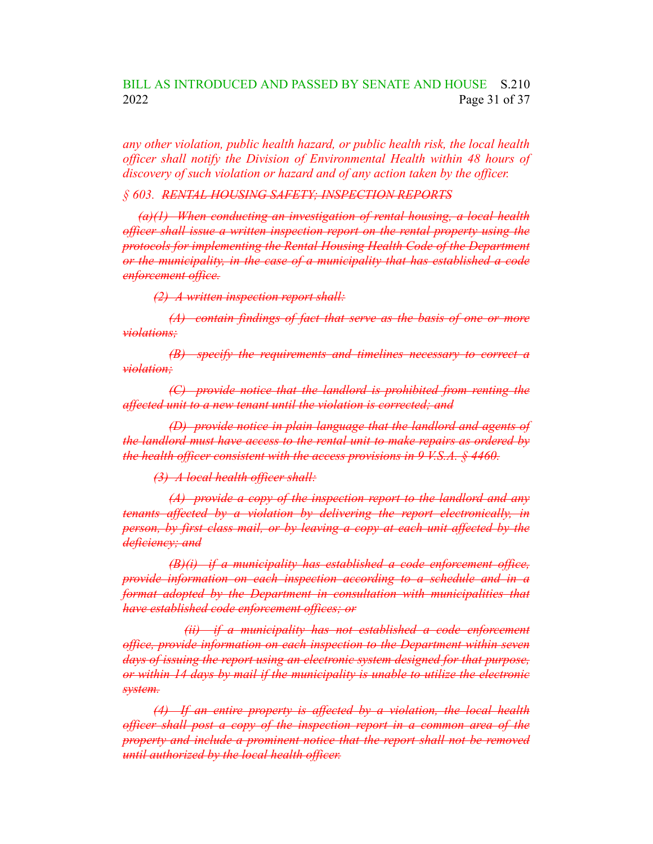#### BILL AS INTRODUCED AND PASSED BY SENATE AND HOUSE S.210 2022 Page 31 of 37

*any other violation, public health hazard, or public health risk, the local health officer shall notify the Division of Environmental Health within 48 hours of discovery of such violation or hazard and of any action taken by the officer.*

#### *§ 603. RENTAL HOUSING SAFETY; INSPECTION REPORTS*

*(a)(1) When conducting an investigation of rental housing, a local health officer shall issue a written inspection report on the rental property using the protocols for implementing the Rental Housing Health Code of the Department or the municipality, in the case of a municipality that has established a code enforcement office.*

*(2) A written inspection report shall:*

*(A) contain findings of fact that serve as the basis of one or more violations;*

*(B) specify the requirements and timelines necessary to correct a violation;*

*(C) provide notice that the landlord is prohibited from renting the affected unit to a new tenant until the violation is corrected; and*

*(D) provide notice in plain language that the landlord and agents of the landlord must have access to the rental unit to make repairs as ordered by the health officer consistent with the access provisions in 9 V.S.A. § 4460.*

*(3) A local health officer shall:*

*(A) provide a copy of the inspection report to the landlord and any tenants affected by a violation by delivering the report electronically, in person, by first class mail, or by leaving a copy at each unit affected by the deficiency; and*

*(B)(i) if a municipality has established a code enforcement office, provide information on each inspection according to a schedule and in a format adopted by the Department in consultation with municipalities that have established code enforcement offices; or*

*(ii) if a municipality has not established a code enforcement office, provide information on each inspection to the Department within seven days of issuing the report using an electronic system designed for that purpose, or within 14 days by mail if the municipality is unable to utilize the electronic system.*

*(4) If an entire property is affected by a violation, the local health officer shall post a copy of the inspection report in a common area of the property and include a prominent notice that the report shall not be removed until authorized by the local health officer.*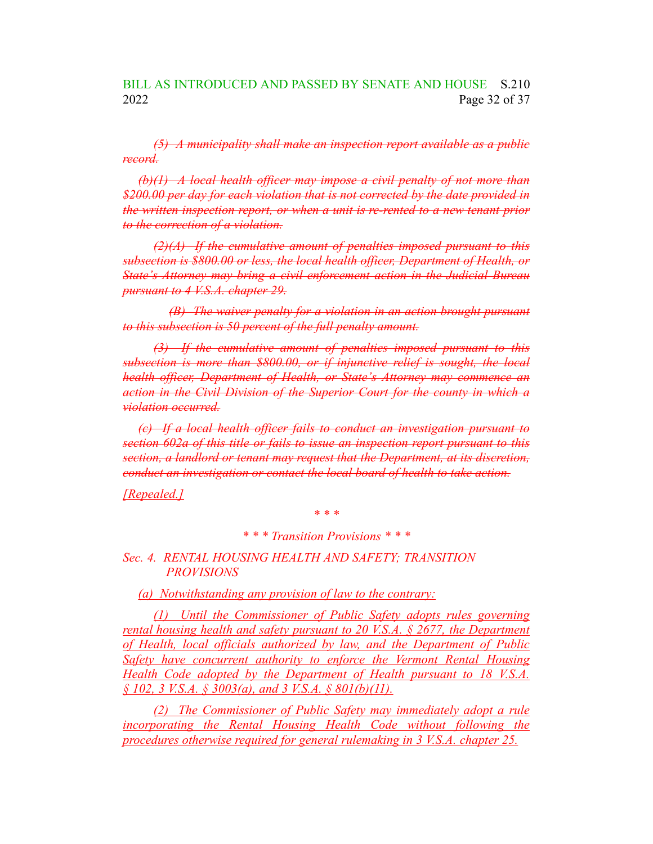*(5) A municipality shall make an inspection report available as a public record.*

*(b)(1) A local health officer may impose a civil penalty of not more than \$200.00 per day for each violation that is not corrected by the date provided in the written inspection report, or when a unit is re-rented to a new tenant prior to the correction of a violation.*

*(2)(A) If the cumulative amount of penalties imposed pursuant to this subsection is \$800.00 or less, the local health officer, Department of Health, or State's Attorney may bring a civil enforcement action in the Judicial Bureau pursuant to 4 V.S.A. chapter 29.*

*(B) The waiver penalty for a violation in an action brought pursuant to this subsection is 50 percent of the full penalty amount.*

*(3) If the cumulative amount of penalties imposed pursuant to this subsection is more than \$800.00, or if injunctive relief is sought, the local health officer, Department of Health, or State's Attorney may commence an action in the Civil Division of the Superior Court for the county in which a violation occurred.*

*(c) If a local health officer fails to conduct an investigation pursuant to section 602a of this title or fails to issue an inspection report pursuant to this section, a landlord or tenant may request that the Department, at its discretion, conduct an investigation or contact the local board of health to take action.*

*[Repealed.]*

*\* \* \**

*\* \* \* Transition Provisions \* \* \**

*Sec. 4. RENTAL HOUSING HEALTH AND SAFETY; TRANSITION PROVISIONS*

*(a) Notwithstanding any provision of law to the contrary:*

*(1) Until the Commissioner of Public Safety adopts rules governing rental housing health and safety pursuant to 20 V.S.A. § 2677, the Department of Health, local officials authorized by law, and the Department of Public Safety have concurrent authority to enforce the Vermont Rental Housing Health Code adopted by the Department of Health pursuant to 18 V.S.A. § 102, 3 V.S.A. § 3003(a), and 3 V.S.A. § 801(b)(11).*

*(2) The Commissioner of Public Safety may immediately adopt a rule incorporating the Rental Housing Health Code without following the procedures otherwise required for general rulemaking in 3 V.S.A. chapter 25.*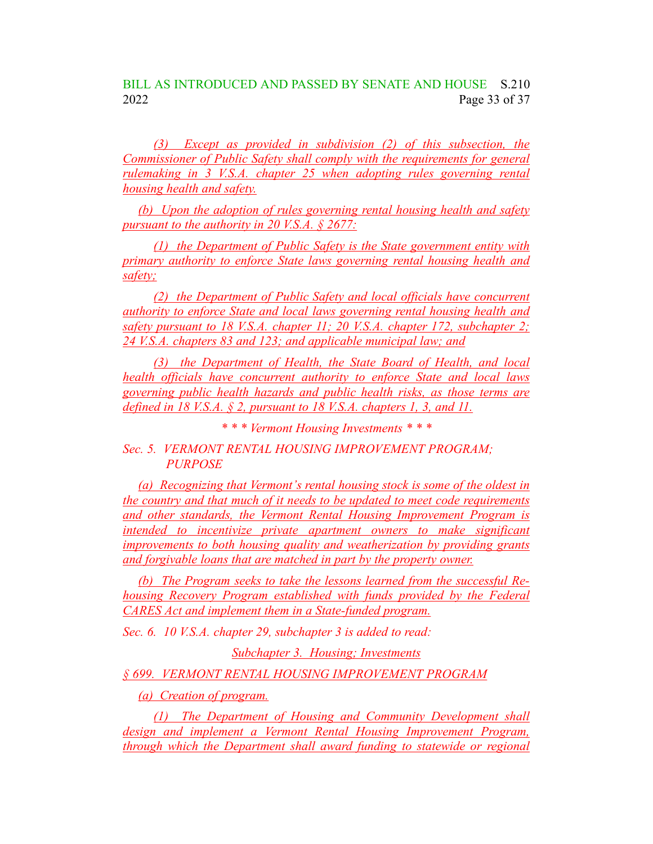*(3) Except as provided in subdivision (2) of this subsection, the Commissioner of Public Safety shall comply with the requirements for general rulemaking in 3 V.S.A. chapter 25 when adopting rules governing rental housing health and safety.*

*(b) Upon the adoption of rules governing rental housing health and safety pursuant to the authority in 20 V.S.A. § 2677:*

*(1) the Department of Public Safety is the State government entity with primary authority to enforce State laws governing rental housing health and safety;*

*(2) the Department of Public Safety and local officials have concurrent authority to enforce State and local laws governing rental housing health and safety pursuant to 18 V.S.A. chapter 11; 20 V.S.A. chapter 172, subchapter 2; 24 V.S.A. chapters 83 and 123; and applicable municipal law; and*

*(3) the Department of Health, the State Board of Health, and local health officials have concurrent authority to enforce State and local laws governing public health hazards and public health risks, as those terms are defined in 18 V.S.A. § 2, pursuant to 18 V.S.A. chapters 1, 3, and 11.*

*\* \* \* Vermont Housing Investments \* \* \**

*Sec. 5. VERMONT RENTAL HOUSING IMPROVEMENT PROGRAM; PURPOSE*

*(a) Recognizing that Vermont's rental housing stock is some of the oldest in the country and that much of it needs to be updated to meet code requirements and other standards, the Vermont Rental Housing Improvement Program is intended to incentivize private apartment owners to make significant improvements to both housing quality and weatherization by providing grants and forgivable loans that are matched in part by the property owner.*

*(b) The Program seeks to take the lessons learned from the successful Rehousing Recovery Program established with funds provided by the Federal CARES Act and implement them in a State-funded program.*

*Sec. 6. 10 V.S.A. chapter 29, subchapter 3 is added to read:*

*Subchapter 3. Housing; Investments*

*§ 699. VERMONT RENTAL HOUSING IMPROVEMENT PROGRAM*

*(a) Creation of program.*

*(1) The Department of Housing and Community Development shall design and implement a Vermont Rental Housing Improvement Program, through which the Department shall award funding to statewide or regional*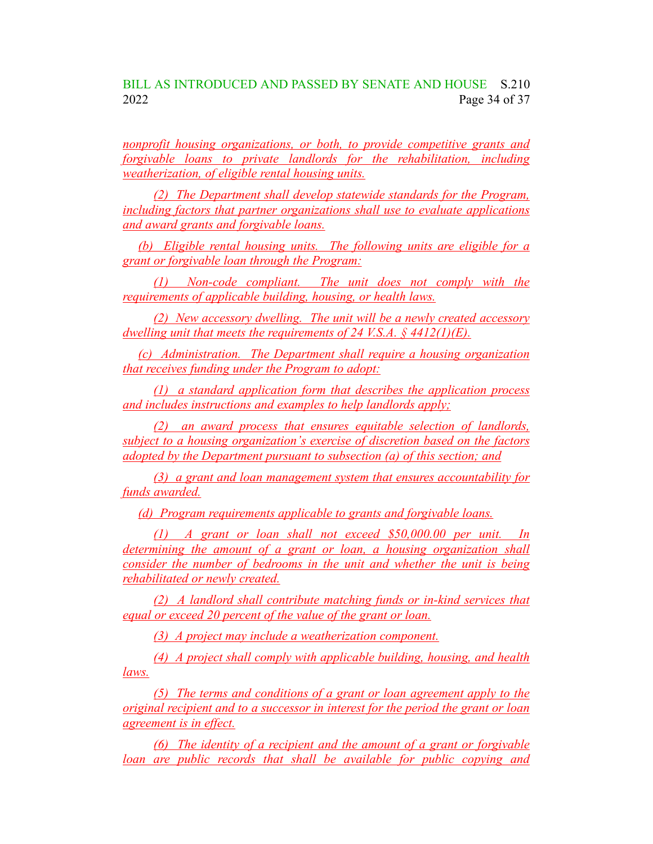#### BILL AS INTRODUCED AND PASSED BY SENATE AND HOUSE S.210 2022 Page 34 of 37

*nonprofit housing organizations, or both, to provide competitive grants and forgivable loans to private landlords for the rehabilitation, including weatherization, of eligible rental housing units.*

*(2) The Department shall develop statewide standards for the Program, including factors that partner organizations shall use to evaluate applications and award grants and forgivable loans.*

*(b) Eligible rental housing units. The following units are eligible for a grant or forgivable loan through the Program:*

*(1) Non-code compliant. The unit does not comply with the requirements of applicable building, housing, or health laws.*

*(2) New accessory dwelling. The unit will be a newly created accessory dwelling unit that meets the requirements of 24 V.S.A. § 4412(1)(E).*

*(c) Administration. The Department shall require a housing organization that receives funding under the Program to adopt:*

*(1) a standard application form that describes the application process and includes instructions and examples to help landlords apply;*

*(2) an award process that ensures equitable selection of landlords, subject to a housing organization's exercise of discretion based on the factors adopted by the Department pursuant to subsection (a) of this section; and*

*(3) a grant and loan management system that ensures accountability for funds awarded.*

*(d) Program requirements applicable to grants and forgivable loans.*

*(1) A grant or loan shall not exceed \$50,000.00 per unit. In determining the amount of a grant or loan, a housing organization shall consider the number of bedrooms in the unit and whether the unit is being rehabilitated or newly created.*

*(2) A landlord shall contribute matching funds or in-kind services that equal or exceed* 20 *percent of the value of the grant or loan.* 

*(3) A project may include a weatherization component.*

*(4) A project shall comply with applicable building, housing, and health laws.*

*(5) The terms and conditions of a grant or loan agreement apply to the original recipient and to a successor in interest for the period the grant or loan agreement is in effect.*

*(6) The identity of a recipient and the amount of a grant or forgivable loan are public records that shall be available for public copying and*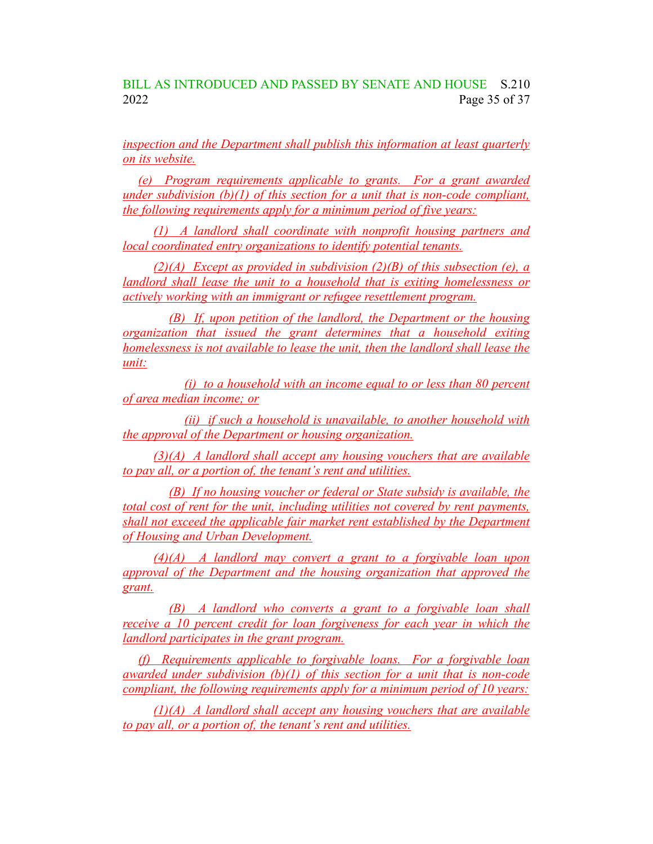#### BILL AS INTRODUCED AND PASSED BY SENATE AND HOUSE S.210 2022 Page 35 of 37

*inspection and the Department shall publish this information at least quarterly on its website.*

*(e) Program requirements applicable to grants. For a grant awarded under subdivision (b)(1) of this section for a unit that is non-code compliant, the following requirements apply for a minimum period of five years:*

*(1) A landlord shall coordinate with nonprofit housing partners and local coordinated entry organizations to identify potential tenants.*

*(2)(A) Except as provided in subdivision (2)(B) of this subsection (e), a landlord shall lease the unit to a household that is exiting homelessness or actively working with an immigrant or refugee resettlement program.*

*(B) If, upon petition of the landlord, the Department or the housing organization that issued the grant determines that a household exiting homelessness is not available to lease the unit, then the landlord shall lease the unit:*

*(i) to a household with an income equal to or less than 80 percent of area median income; or*

*(ii) if such a household is unavailable, to another household with the approval of the Department or housing organization.*

*(3)(A) A landlord shall accept any housing vouchers that are available to pay all, or a portion of, the tenant's rent and utilities.*

*(B) If no housing voucher or federal or State subsidy is available, the total cost of rent for the unit, including utilities not covered by rent payments, shall not exceed the applicable fair market rent established by the Department of Housing and Urban Development.*

*(4)(A) A landlord may convert a grant to a forgivable loan upon approval of the Department and the housing organization that approved the grant.*

*(B) A landlord who converts a grant to a forgivable loan shall receive a 10 percent credit for loan forgiveness for each year in which the landlord participates in the grant program.*

*(f) Requirements applicable to forgivable loans. For a forgivable loan awarded under subdivision (b)(1) of this section for a unit that is non-code compliant, the following requirements apply for a minimum period of 10 years:*

*(1)(A) A landlord shall accept any housing vouchers that are available to pay all, or a portion of, the tenant's rent and utilities.*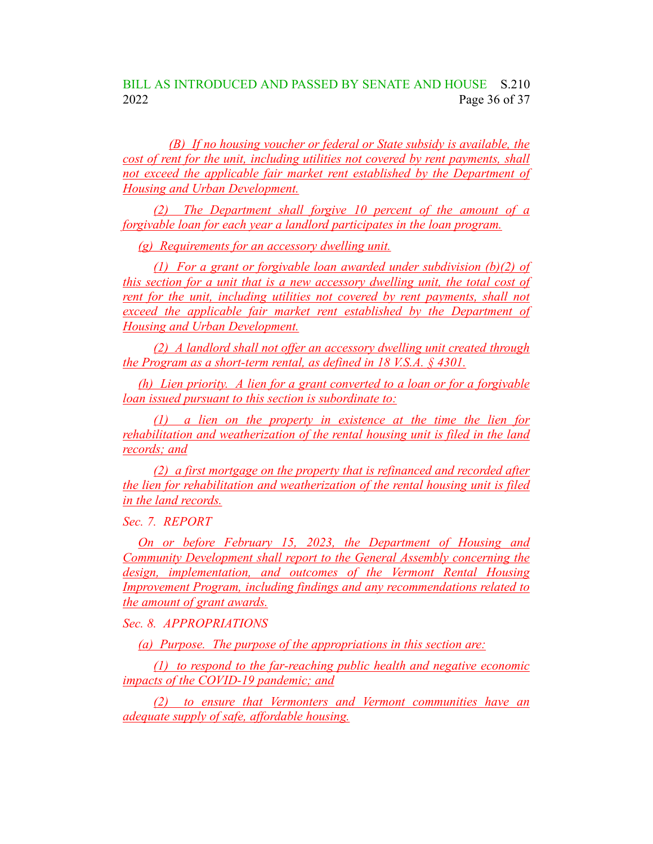BILL AS INTRODUCED AND PASSED BY SENATE AND HOUSE S.210 2022 Page 36 of 37

*(B) If no housing voucher or federal or State subsidy is available, the cost of rent for the unit, including utilities not covered by rent payments, shall not exceed the applicable fair market rent established by the Department of Housing and Urban Development.*

*(2) The Department shall forgive 10 percent of the amount of a forgivable loan for each year a landlord participates in the loan program.*

*(g) Requirements for an accessory dwelling unit.*

*(1) For a grant or forgivable loan awarded under subdivision (b)(2) of this section for a unit that is a new accessory dwelling unit, the total cost of rent for the unit, including utilities not covered by rent payments, shall not exceed the applicable fair market rent established by the Department of Housing and Urban Development.*

*(2) A landlord shall not offer an accessory dwelling unit created through the Program as a short-term rental, as defined in 18 V.S.A. § 4301.*

*(h) Lien priority. A lien for a grant converted to a loan or for a forgivable loan issued pursuant to this section is subordinate to:*

*(1) a lien on the property in existence at the time the lien for rehabilitation and weatherization of the rental housing unit is filed in the land records; and*

*(2) a first mortgage on the property that is refinanced and recorded after the lien for rehabilitation and weatherization of the rental housing unit is filed in the land records.*

*Sec. 7. REPORT*

*On or before February 15, 2023, the Department of Housing and Community Development shall report to the General Assembly concerning the design, implementation, and outcomes of the Vermont Rental Housing Improvement Program, including findings and any recommendations related to the amount of grant awards.*

*Sec. 8. APPROPRIATIONS*

*(a) Purpose. The purpose of the appropriations in this section are:*

*(1) to respond to the far-reaching public health and negative economic impacts of the COVID-19 pandemic; and*

*(2) to ensure that Vermonters and Vermont communities have an adequate supply of safe, affordable housing.*